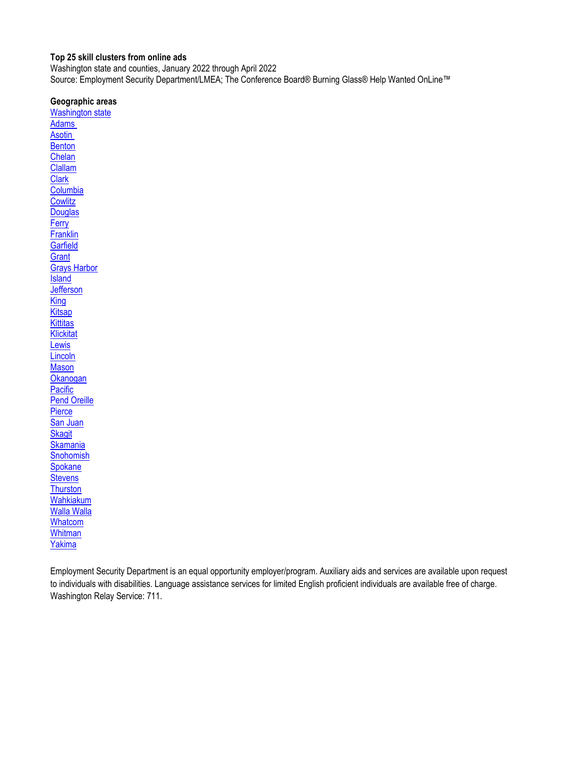#### <span id="page-0-0"></span>**Top 25 skill clusters from online ads**

Washington state and counties, January 2022 through April 2022 Source: Employment Security Department/LMEA; The Conference Board® Burning Glass® Help Wanted OnLine™

#### **Geographic areas**

[Washington state](#page-1-0) [Adams](#page-2-0)  **Asotin [Benton](#page-4-0)** [Chelan](#page-5-0) [Clallam](#page-6-0) **[Clark](#page-7-0) [Columbia](#page-8-0) [Cowlitz](#page-9-0) [Douglas](#page-10-0) [Ferry](#page-11-0) [Franklin](#page-12-0) [Garfield](#page-13-0) [Grant](#page-14-0)** [Grays Harbor](#page-15-0) **[Island](#page-16-0) [Jefferson](#page-17-0) [King](#page-18-0) [Kitsap](#page-19-0) [Kittitas](#page-20-0) [Klickitat](#page-21-0)** [Lewis](#page-22-0) **[Lincoln](#page-23-0) [Mason](#page-24-0) [Okanogan](#page-25-0) [Pacific](#page-26-0)** [Pend Oreille](#page-27-0) **[Pierce](#page-28-0)** [San Juan](#page-29-0) **[Skagit](#page-30-0) [Skamania](#page-31-0) [Snohomish](#page-32-0) [Spokane](#page-33-0) [Stevens](#page-34-0) [Thurston](#page-35-0)** [Wahkiakum](#page-36-0) [Walla Walla](#page-37-0) **[Whatcom](#page-38-0) [Whitman](#page-39-0)** [Yakima](#page-40-0)

Employment Security Department is an equal opportunity employer/program. Auxiliary aids and services are available upon request to individuals with disabilities. Language assistance services for limited English proficient individuals are available free of charge. Washington Relay Service: 711.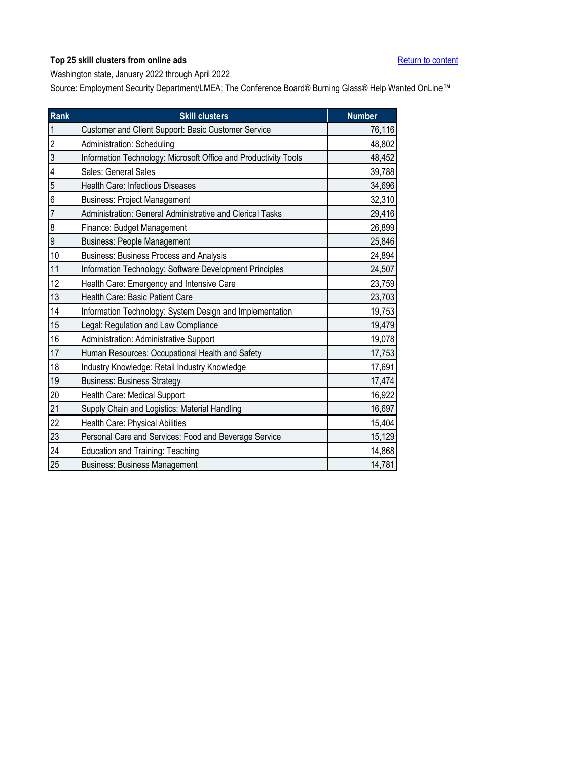<span id="page-1-0"></span>Washington state, January 2022 through April 2022

| Rank             | <b>Skill clusters</b>                                           | <b>Number</b> |
|------------------|-----------------------------------------------------------------|---------------|
| $\mathbf{1}$     | Customer and Client Support: Basic Customer Service             | 76,116        |
| $\overline{2}$   | Administration: Scheduling                                      | 48,802        |
| $\overline{3}$   | Information Technology: Microsoft Office and Productivity Tools | 48,452        |
| 4                | Sales: General Sales                                            | 39,788        |
| 5                | Health Care: Infectious Diseases                                | 34,696        |
| 6                | <b>Business: Project Management</b>                             | 32,310        |
| $\overline{7}$   | Administration: General Administrative and Clerical Tasks       | 29,416        |
| $\boldsymbol{8}$ | Finance: Budget Management                                      | 26,899        |
| $\overline{9}$   | <b>Business: People Management</b>                              | 25,846        |
| 10               | Business: Business Process and Analysis                         | 24,894        |
| 11               | Information Technology: Software Development Principles         | 24,507        |
| 12               | Health Care: Emergency and Intensive Care                       | 23,759        |
| 13               | Health Care: Basic Patient Care                                 | 23,703        |
| 14               | Information Technology: System Design and Implementation        | 19,753        |
| 15               | Legal: Regulation and Law Compliance                            | 19,479        |
| 16               | Administration: Administrative Support                          | 19,078        |
| 17               | Human Resources: Occupational Health and Safety                 | 17,753        |
| 18               | Industry Knowledge: Retail Industry Knowledge                   | 17,691        |
| 19               | <b>Business: Business Strategy</b>                              | 17,474        |
| 20               | Health Care: Medical Support                                    | 16,922        |
| 21               | Supply Chain and Logistics: Material Handling                   | 16,697        |
| 22               | Health Care: Physical Abilities                                 | 15,404        |
| 23               | Personal Care and Services: Food and Beverage Service           | 15,129        |
| 24               | <b>Education and Training: Teaching</b>                         | 14,868        |
| 25               | <b>Business: Business Management</b>                            | 14,781        |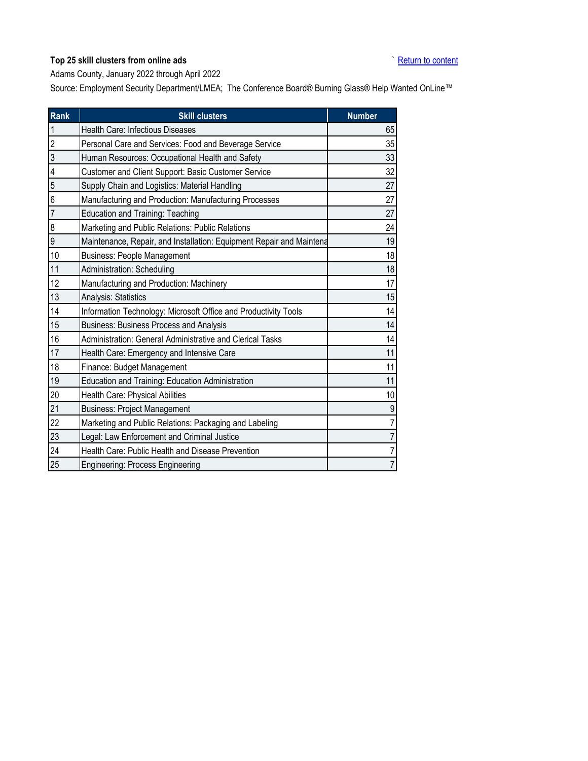## <span id="page-2-0"></span>**Top 25 skill clusters from online ads The Security Content of Content [Return to content](#page-0-0)**

Adams County, January 2022 through April 2022

| Rank           | <b>Skill clusters</b>                                                | <b>Number</b> |
|----------------|----------------------------------------------------------------------|---------------|
| $\mathbf{1}$   | Health Care: Infectious Diseases                                     | 65            |
| $\overline{2}$ | Personal Care and Services: Food and Beverage Service                | 35            |
| 3              | Human Resources: Occupational Health and Safety                      | 33            |
| 4              | Customer and Client Support: Basic Customer Service                  | 32            |
| 5              | Supply Chain and Logistics: Material Handling                        | 27            |
| 6              | Manufacturing and Production: Manufacturing Processes                | 27            |
| $\overline{7}$ | <b>Education and Training: Teaching</b>                              | 27            |
| 8              | Marketing and Public Relations: Public Relations                     | 24            |
| 9              | Maintenance, Repair, and Installation: Equipment Repair and Maintena | 19            |
| 10             | <b>Business: People Management</b>                                   | 18            |
| 11             | Administration: Scheduling                                           | 18            |
| 12             | Manufacturing and Production: Machinery                              | 17            |
| 13             | Analysis: Statistics                                                 | 15            |
| 14             | Information Technology: Microsoft Office and Productivity Tools      | 14            |
| 15             | Business: Business Process and Analysis                              | 14            |
| 16             | Administration: General Administrative and Clerical Tasks            | 14            |
| 17             | Health Care: Emergency and Intensive Care                            | 11            |
| 18             | Finance: Budget Management                                           | 11            |
| 19             | Education and Training: Education Administration                     | 11            |
| 20             | Health Care: Physical Abilities                                      | 10            |
| 21             | <b>Business: Project Management</b>                                  | 9             |
| 22             | Marketing and Public Relations: Packaging and Labeling               | 7             |
| 23             | Legal: Law Enforcement and Criminal Justice                          | 7             |
| 24             | Health Care: Public Health and Disease Prevention                    | 7             |
| 25             | Engineering: Process Engineering                                     | 7             |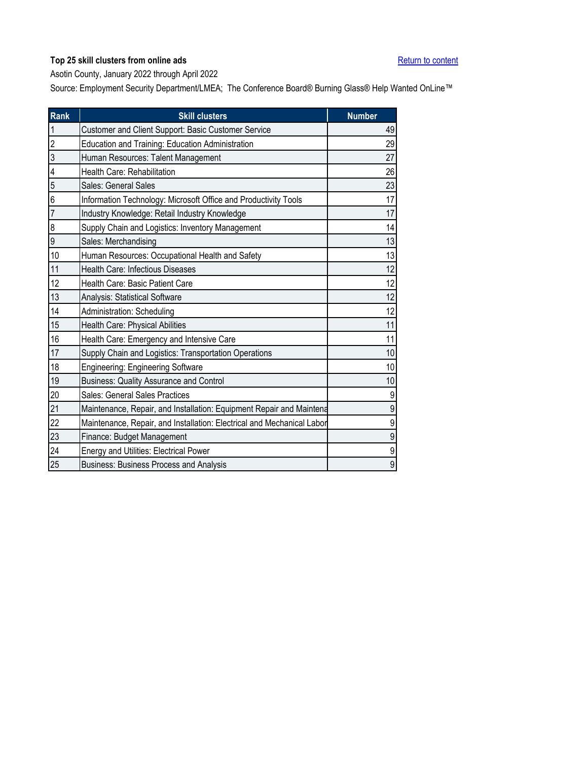<span id="page-3-0"></span>Asotin County, January 2022 through April 2022

| Rank           | <b>Skill clusters</b>                                                  | <b>Number</b>  |
|----------------|------------------------------------------------------------------------|----------------|
| $\mathbf{1}$   | Customer and Client Support: Basic Customer Service                    | 49             |
| $\overline{c}$ | Education and Training: Education Administration                       | 29             |
| 3              | Human Resources: Talent Management                                     | 27             |
| 4              | Health Care: Rehabilitation                                            | 26             |
| 5              | Sales: General Sales                                                   | 23             |
| 6              | Information Technology: Microsoft Office and Productivity Tools        | 17             |
| $\overline{7}$ | Industry Knowledge: Retail Industry Knowledge                          | 17             |
| 8              | Supply Chain and Logistics: Inventory Management                       | 14             |
| 9              | Sales: Merchandising                                                   | 13             |
| 10             | Human Resources: Occupational Health and Safety                        | 13             |
| 11             | Health Care: Infectious Diseases                                       | 12             |
| 12             | Health Care: Basic Patient Care                                        | 12             |
| 13             | Analysis: Statistical Software                                         | 12             |
| 14             | Administration: Scheduling                                             | 12             |
| 15             | Health Care: Physical Abilities                                        | 11             |
| 16             | Health Care: Emergency and Intensive Care                              | 11             |
| 17             | Supply Chain and Logistics: Transportation Operations                  | 10             |
| 18             | <b>Engineering: Engineering Software</b>                               | 10             |
| 19             | <b>Business: Quality Assurance and Control</b>                         | 10             |
| 20             | Sales: General Sales Practices                                         | 9              |
| 21             | Maintenance, Repair, and Installation: Equipment Repair and Maintena   | $\overline{9}$ |
| 22             | Maintenance, Repair, and Installation: Electrical and Mechanical Labor | 9              |
| 23             | Finance: Budget Management                                             | 9              |
| 24             | <b>Energy and Utilities: Electrical Power</b>                          | 9              |
| 25             | <b>Business: Business Process and Analysis</b>                         | 9              |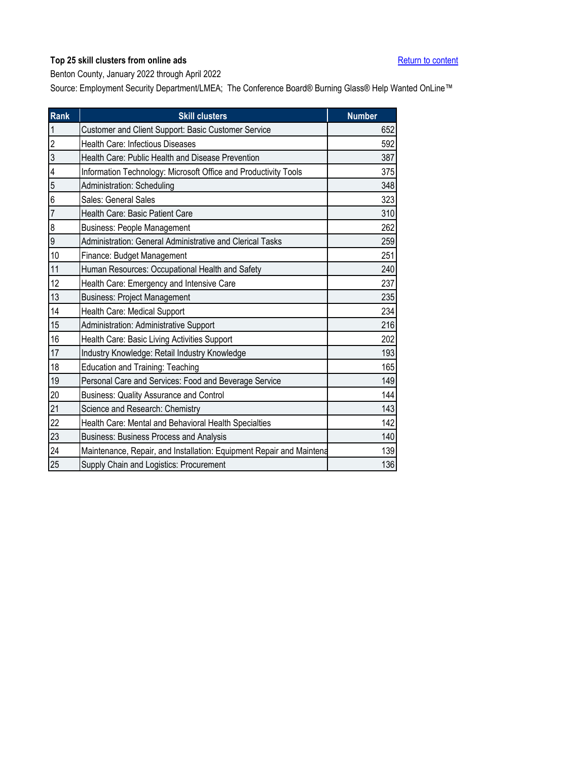<span id="page-4-0"></span>Benton County, January 2022 through April 2022

| Rank           | <b>Skill clusters</b>                                                | <b>Number</b> |
|----------------|----------------------------------------------------------------------|---------------|
| $\overline{1}$ | Customer and Client Support: Basic Customer Service                  | 652           |
| $\overline{2}$ | Health Care: Infectious Diseases                                     | 592           |
| $\overline{3}$ | Health Care: Public Health and Disease Prevention                    | 387           |
| 4              | Information Technology: Microsoft Office and Productivity Tools      | 375           |
| 5              | Administration: Scheduling                                           | 348           |
| 6              | Sales: General Sales                                                 | 323           |
| $\overline{7}$ | Health Care: Basic Patient Care                                      | 310           |
| 8              | <b>Business: People Management</b>                                   | 262           |
| 9              | Administration: General Administrative and Clerical Tasks            | 259           |
| 10             | Finance: Budget Management                                           | 251           |
| 11             | Human Resources: Occupational Health and Safety                      | 240           |
| 12             | Health Care: Emergency and Intensive Care                            | 237           |
| 13             | <b>Business: Project Management</b>                                  | 235           |
| 14             | Health Care: Medical Support                                         | 234           |
| 15             | Administration: Administrative Support                               | 216           |
| 16             | Health Care: Basic Living Activities Support                         | 202           |
| 17             | Industry Knowledge: Retail Industry Knowledge                        | 193           |
| 18             | <b>Education and Training: Teaching</b>                              | 165           |
| 19             | Personal Care and Services: Food and Beverage Service                | 149           |
| 20             | <b>Business: Quality Assurance and Control</b>                       | 144           |
| 21             | Science and Research: Chemistry                                      | 143           |
| 22             | Health Care: Mental and Behavioral Health Specialties                | 142           |
| 23             | <b>Business: Business Process and Analysis</b>                       | 140           |
| 24             | Maintenance, Repair, and Installation: Equipment Repair and Maintena | 139           |
| 25             | Supply Chain and Logistics: Procurement                              | 136           |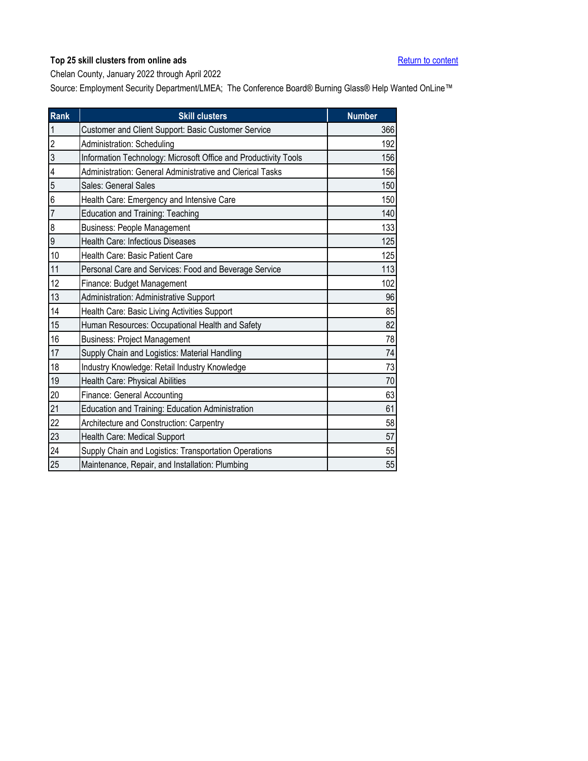<span id="page-5-0"></span>Chelan County, January 2022 through April 2022

| Rank           | <b>Skill clusters</b>                                           | <b>Number</b> |
|----------------|-----------------------------------------------------------------|---------------|
| $\overline{1}$ | Customer and Client Support: Basic Customer Service             | 366           |
| $\overline{2}$ | Administration: Scheduling                                      | 192           |
| 3              | Information Technology: Microsoft Office and Productivity Tools | 156           |
| 4              | Administration: General Administrative and Clerical Tasks       | 156           |
| 5              | Sales: General Sales                                            | 150           |
| 6              | Health Care: Emergency and Intensive Care                       | 150           |
| $\overline{7}$ | <b>Education and Training: Teaching</b>                         | 140           |
| 8              | <b>Business: People Management</b>                              | 133           |
| 9              | Health Care: Infectious Diseases                                | 125           |
| 10             | Health Care: Basic Patient Care                                 | 125           |
| 11             | Personal Care and Services: Food and Beverage Service           | 113           |
| 12             | Finance: Budget Management                                      | 102           |
| 13             | Administration: Administrative Support                          | 96            |
| 14             | Health Care: Basic Living Activities Support                    | 85            |
| 15             | Human Resources: Occupational Health and Safety                 | 82            |
| 16             | <b>Business: Project Management</b>                             | 78            |
| 17             | Supply Chain and Logistics: Material Handling                   | 74            |
| 18             | Industry Knowledge: Retail Industry Knowledge                   | 73            |
| 19             | Health Care: Physical Abilities                                 | 70            |
| 20             | Finance: General Accounting                                     | 63            |
| 21             | Education and Training: Education Administration                | 61            |
| 22             | Architecture and Construction: Carpentry                        | 58            |
| 23             | Health Care: Medical Support                                    | 57            |
| 24             | Supply Chain and Logistics: Transportation Operations           | 55            |
| 25             | Maintenance, Repair, and Installation: Plumbing                 | 55            |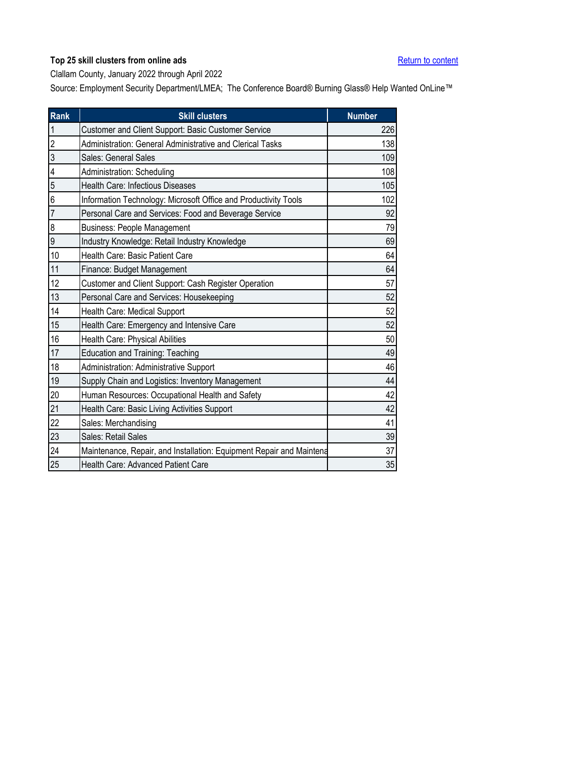<span id="page-6-0"></span>Clallam County, January 2022 through April 2022

| Rank           | <b>Skill clusters</b>                                                | <b>Number</b> |
|----------------|----------------------------------------------------------------------|---------------|
| $\mathbf{1}$   | Customer and Client Support: Basic Customer Service                  | 226           |
| $\overline{2}$ | Administration: General Administrative and Clerical Tasks            | 138           |
| 3              | Sales: General Sales                                                 | 109           |
| 4              | Administration: Scheduling                                           | 108           |
| 5              | <b>Health Care: Infectious Diseases</b>                              | 105           |
| 6              | Information Technology: Microsoft Office and Productivity Tools      | 102           |
| $\overline{7}$ | Personal Care and Services: Food and Beverage Service                | 92            |
| 8              | <b>Business: People Management</b>                                   | 79            |
| 9              | Industry Knowledge: Retail Industry Knowledge                        | 69            |
| 10             | Health Care: Basic Patient Care                                      | 64            |
| 11             | Finance: Budget Management                                           | 64            |
| 12             | Customer and Client Support: Cash Register Operation                 | 57            |
| 13             | Personal Care and Services: Housekeeping                             | 52            |
| 14             | Health Care: Medical Support                                         | 52            |
| 15             | Health Care: Emergency and Intensive Care                            | 52            |
| 16             | Health Care: Physical Abilities                                      | 50            |
| 17             | <b>Education and Training: Teaching</b>                              | 49            |
| 18             | Administration: Administrative Support                               | 46            |
| 19             | Supply Chain and Logistics: Inventory Management                     | 44            |
| 20             | Human Resources: Occupational Health and Safety                      | 42            |
| 21             | Health Care: Basic Living Activities Support                         | 42            |
| 22             | Sales: Merchandising                                                 | 41            |
| 23             | Sales: Retail Sales                                                  | 39            |
| 24             | Maintenance, Repair, and Installation: Equipment Repair and Maintena | 37            |
| 25             | <b>Health Care: Advanced Patient Care</b>                            | 35            |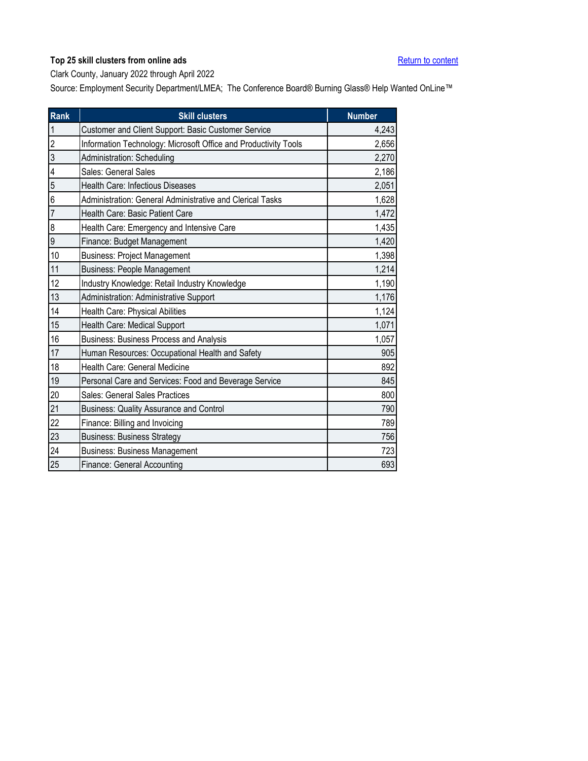<span id="page-7-0"></span>Clark County, January 2022 through April 2022

| <b>Rank</b>     | <b>Skill clusters</b>                                           | <b>Number</b> |
|-----------------|-----------------------------------------------------------------|---------------|
| 1               | Customer and Client Support: Basic Customer Service             | 4,243         |
| $\overline{2}$  | Information Technology: Microsoft Office and Productivity Tools | 2,656         |
| 3               | Administration: Scheduling                                      | 2,270         |
| 4               | Sales: General Sales                                            | 2,186         |
| 5               | <b>Health Care: Infectious Diseases</b>                         | 2,051         |
| $6\phantom{.}6$ | Administration: General Administrative and Clerical Tasks       | 1,628         |
| 7               | Health Care: Basic Patient Care                                 | 1,472         |
| $\bf 8$         | Health Care: Emergency and Intensive Care                       | 1,435         |
| $\overline{9}$  | Finance: Budget Management                                      | 1,420         |
| 10              | <b>Business: Project Management</b>                             | 1,398         |
| 11              | <b>Business: People Management</b>                              | 1,214         |
| 12              | Industry Knowledge: Retail Industry Knowledge                   | 1,190         |
| 13              | Administration: Administrative Support                          | 1,176         |
| 14              | Health Care: Physical Abilities                                 | 1,124         |
| 15              | Health Care: Medical Support                                    | 1,071         |
| 16              | Business: Business Process and Analysis                         | 1,057         |
| 17              | Human Resources: Occupational Health and Safety                 | 905           |
| 18              | Health Care: General Medicine                                   | 892           |
| 19              | Personal Care and Services: Food and Beverage Service           | 845           |
| 20              | Sales: General Sales Practices                                  | 800           |
| 21              | <b>Business: Quality Assurance and Control</b>                  | 790           |
| 22              | Finance: Billing and Invoicing                                  | 789           |
| 23              | <b>Business: Business Strategy</b>                              | 756           |
| 24              | <b>Business: Business Management</b>                            | 723           |
| 25              | Finance: General Accounting                                     | 693           |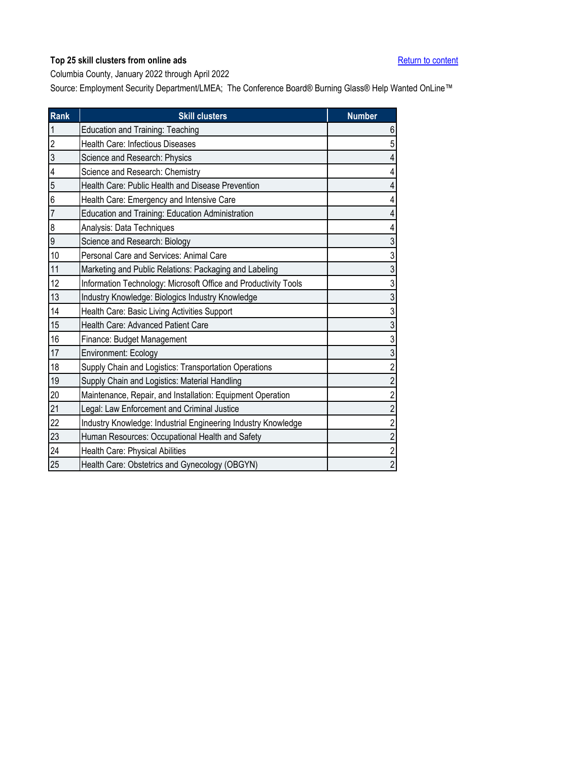<span id="page-8-0"></span>Columbia County, January 2022 through April 2022

| Rank           | <b>Skill clusters</b>                                           | <b>Number</b>           |
|----------------|-----------------------------------------------------------------|-------------------------|
| $\overline{1}$ | <b>Education and Training: Teaching</b>                         | $\boldsymbol{6}$        |
| $\overline{2}$ | Health Care: Infectious Diseases                                | 5                       |
| $\overline{3}$ | Science and Research: Physics                                   | $\overline{\mathbf{4}}$ |
| 4              | Science and Research: Chemistry                                 | $\overline{4}$          |
| 5              | Health Care: Public Health and Disease Prevention               | $\overline{4}$          |
| 6              | Health Care: Emergency and Intensive Care                       | $\overline{\mathbf{4}}$ |
| $\overline{7}$ | Education and Training: Education Administration                | $\overline{4}$          |
| 8              | Analysis: Data Techniques                                       | $\overline{4}$          |
| 9              | Science and Research: Biology                                   | $\mathfrak{S}$          |
| 10             | Personal Care and Services: Animal Care                         | 3                       |
| 11             | Marketing and Public Relations: Packaging and Labeling          | $\mathfrak{S}$          |
| 12             | Information Technology: Microsoft Office and Productivity Tools | 3                       |
| 13             | Industry Knowledge: Biologics Industry Knowledge                | $\mathfrak{Z}$          |
| 14             | Health Care: Basic Living Activities Support                    | $\sqrt{3}$              |
| 15             | Health Care: Advanced Patient Care                              | $\sqrt{3}$              |
| $16\,$         | Finance: Budget Management                                      | 3                       |
| 17             | Environment: Ecology                                            | $\sqrt{3}$              |
| 18             | Supply Chain and Logistics: Transportation Operations           | $\overline{\mathbf{c}}$ |
| 19             | Supply Chain and Logistics: Material Handling                   | $\overline{c}$          |
| 20             | Maintenance, Repair, and Installation: Equipment Operation      | $\overline{c}$          |
| 21             | Legal: Law Enforcement and Criminal Justice                     | $\overline{c}$          |
| 22             | Industry Knowledge: Industrial Engineering Industry Knowledge   | $\overline{\mathbf{c}}$ |
| 23             | Human Resources: Occupational Health and Safety                 | $\overline{\mathbf{c}}$ |
| 24             | Health Care: Physical Abilities                                 | $\overline{c}$          |
| 25             | Health Care: Obstetrics and Gynecology (OBGYN)                  | $\overline{2}$          |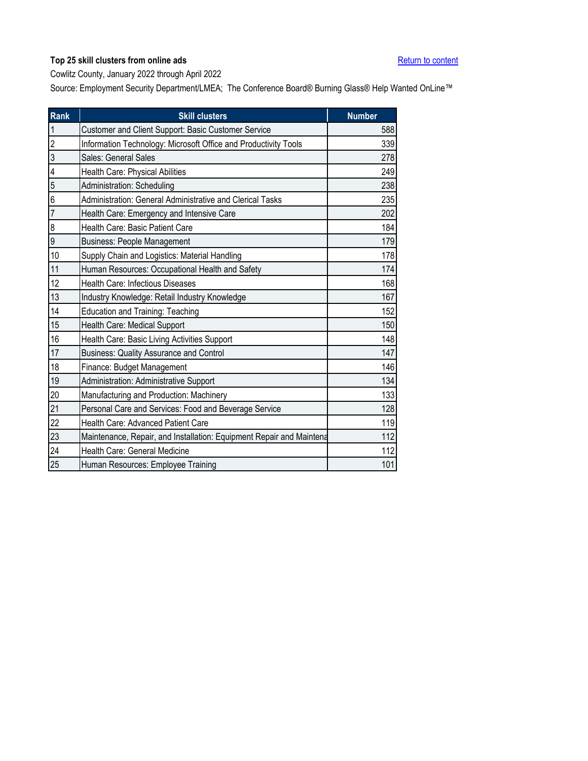<span id="page-9-0"></span>Cowlitz County, January 2022 through April 2022

| Rank                    | <b>Skill clusters</b>                                                | <b>Number</b> |
|-------------------------|----------------------------------------------------------------------|---------------|
| 1                       | Customer and Client Support: Basic Customer Service                  | 588           |
| $\overline{2}$          | Information Technology: Microsoft Office and Productivity Tools      | 339           |
| 3                       | Sales: General Sales                                                 | 278           |
| $\overline{\mathbf{4}}$ | Health Care: Physical Abilities                                      | 249           |
| 5                       | Administration: Scheduling                                           | 238           |
| $6\overline{6}$         | Administration: General Administrative and Clerical Tasks            | 235           |
| 7                       | Health Care: Emergency and Intensive Care                            | 202           |
| $\boldsymbol{\delta}$   | Health Care: Basic Patient Care                                      | 184           |
| 9                       | <b>Business: People Management</b>                                   | 179           |
| 10                      | Supply Chain and Logistics: Material Handling                        | 178           |
| 11                      | Human Resources: Occupational Health and Safety                      | 174           |
| 12                      | Health Care: Infectious Diseases                                     | 168           |
| 13                      | Industry Knowledge: Retail Industry Knowledge                        | 167           |
| 14                      | <b>Education and Training: Teaching</b>                              | 152           |
| 15                      | Health Care: Medical Support                                         | 150           |
| 16                      | Health Care: Basic Living Activities Support                         | 148           |
| 17                      | <b>Business: Quality Assurance and Control</b>                       | 147           |
| 18                      | Finance: Budget Management                                           | 146           |
| 19                      | Administration: Administrative Support                               | 134           |
| 20                      | Manufacturing and Production: Machinery                              | 133           |
| 21                      | Personal Care and Services: Food and Beverage Service                | 128           |
| 22                      | Health Care: Advanced Patient Care                                   | 119           |
| 23                      | Maintenance, Repair, and Installation: Equipment Repair and Maintena | 112           |
| 24                      | Health Care: General Medicine                                        | 112           |
| 25                      | Human Resources: Employee Training                                   | 101           |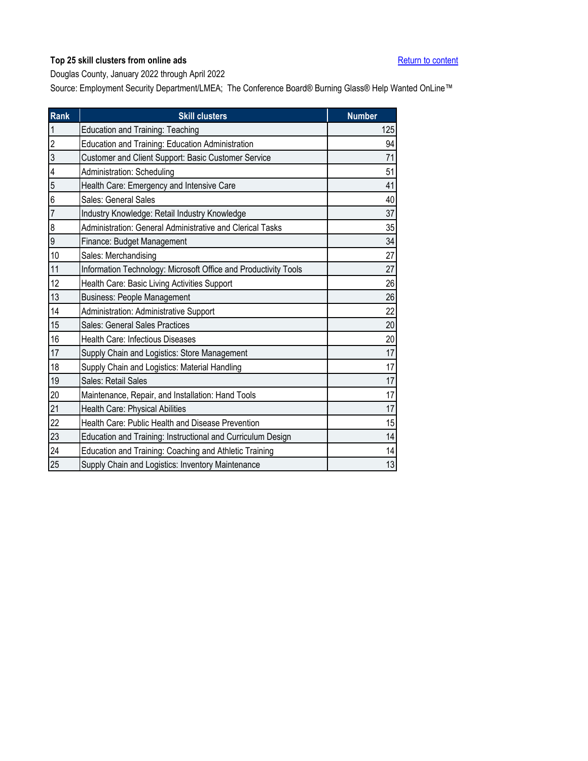<span id="page-10-0"></span>Douglas County, January 2022 through April 2022

| <b>Rank</b>    | <b>Skill clusters</b>                                           | <b>Number</b> |
|----------------|-----------------------------------------------------------------|---------------|
| $\overline{1}$ | <b>Education and Training: Teaching</b>                         | 125           |
| $\overline{2}$ | Education and Training: Education Administration                | 94            |
| $\overline{3}$ | Customer and Client Support: Basic Customer Service             | 71            |
| 4              | Administration: Scheduling                                      | 51            |
| 5              | Health Care: Emergency and Intensive Care                       | 41            |
| 6              | Sales: General Sales                                            | 40            |
| $\overline{7}$ | Industry Knowledge: Retail Industry Knowledge                   | 37            |
| 8              | Administration: General Administrative and Clerical Tasks       | 35            |
| 9              | Finance: Budget Management                                      | 34            |
| 10             | Sales: Merchandising                                            | 27            |
| 11             | Information Technology: Microsoft Office and Productivity Tools | 27            |
| 12             | Health Care: Basic Living Activities Support                    | 26            |
| 13             | <b>Business: People Management</b>                              | 26            |
| 14             | <b>Administration: Administrative Support</b>                   | 22            |
| 15             | Sales: General Sales Practices                                  | 20            |
| 16             | <b>Health Care: Infectious Diseases</b>                         | 20            |
| 17             | Supply Chain and Logistics: Store Management                    | 17            |
| 18             | Supply Chain and Logistics: Material Handling                   | 17            |
| 19             | Sales: Retail Sales                                             | 17            |
| 20             | Maintenance, Repair, and Installation: Hand Tools               | 17            |
| 21             | Health Care: Physical Abilities                                 | 17            |
| 22             | Health Care: Public Health and Disease Prevention               | 15            |
| 23             | Education and Training: Instructional and Curriculum Design     | 14            |
| 24             | Education and Training: Coaching and Athletic Training          | 14            |
| 25             | Supply Chain and Logistics: Inventory Maintenance               | 13            |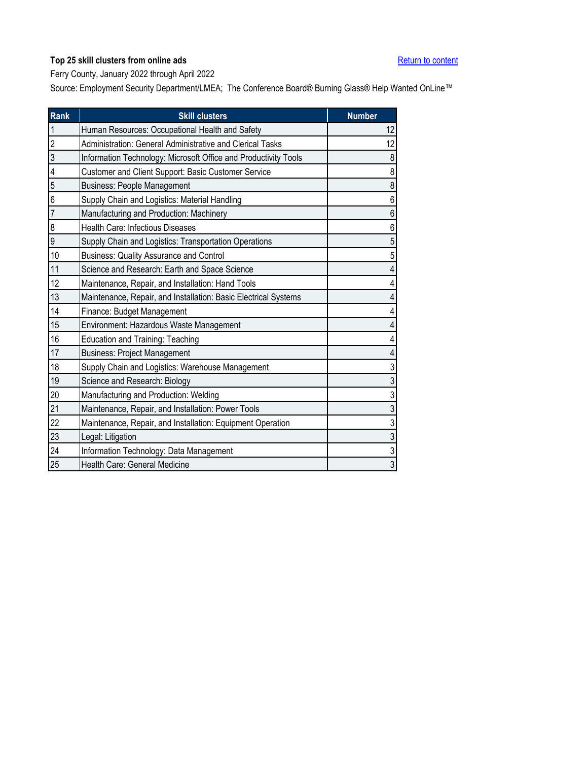<span id="page-11-0"></span>Ferry County, January 2022 through April 2022

| Rank           | <b>Skill clusters</b>                                           | <b>Number</b> |
|----------------|-----------------------------------------------------------------|---------------|
| $\mathbf{1}$   | Human Resources: Occupational Health and Safety                 | 12            |
| $\overline{2}$ | Administration: General Administrative and Clerical Tasks       | 12            |
| 3              | Information Technology: Microsoft Office and Productivity Tools | 8             |
| 4              | Customer and Client Support: Basic Customer Service             | 8             |
| 5              | <b>Business: People Management</b>                              | 8             |
| 6              | Supply Chain and Logistics: Material Handling                   | 6             |
| $\overline{7}$ | Manufacturing and Production: Machinery                         | 6             |
| 8              | Health Care: Infectious Diseases                                | 6             |
| 9              | Supply Chain and Logistics: Transportation Operations           | 5             |
| 10             | <b>Business: Quality Assurance and Control</b>                  | 5             |
| 11             | Science and Research: Earth and Space Science                   | 4             |
| 12             | Maintenance, Repair, and Installation: Hand Tools               | 4             |
| 13             | Maintenance, Repair, and Installation: Basic Electrical Systems | 4             |
| 14             | Finance: Budget Management                                      |               |
| 15             | Environment: Hazardous Waste Management                         |               |
| 16             | <b>Education and Training: Teaching</b>                         |               |
| 17             | <b>Business: Project Management</b>                             |               |
| 18             | Supply Chain and Logistics: Warehouse Management                | 3             |
| 19             | Science and Research: Biology                                   | 3             |
| 20             | Manufacturing and Production: Welding                           | 3             |
| 21             | Maintenance, Repair, and Installation: Power Tools              | 3             |
| 22             | Maintenance, Repair, and Installation: Equipment Operation      | 3             |
| 23             | Legal: Litigation                                               | 3             |
| 24             | Information Technology: Data Management                         | 3             |
| 25             | Health Care: General Medicine                                   | 3             |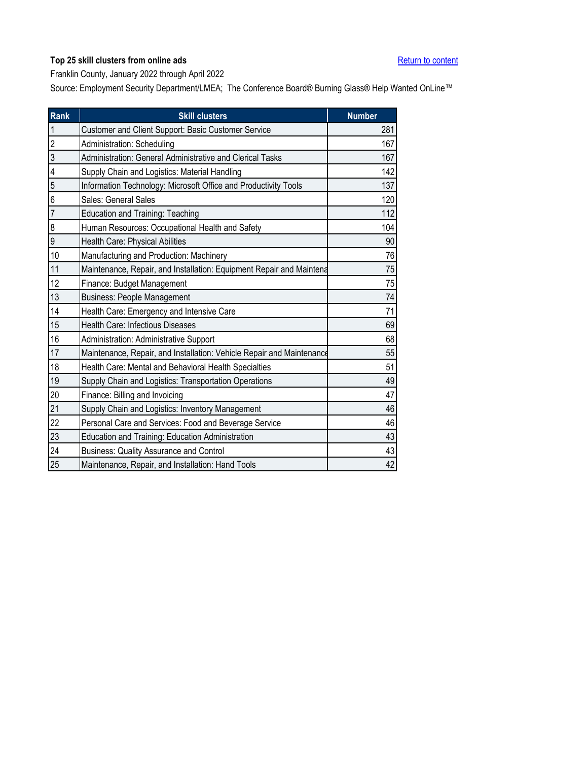<span id="page-12-0"></span>Franklin County, January 2022 through April 2022

| Rank           | <b>Skill clusters</b>                                                 | <b>Number</b> |
|----------------|-----------------------------------------------------------------------|---------------|
| $\mathbf{1}$   | Customer and Client Support: Basic Customer Service                   | 281           |
| $\overline{2}$ | Administration: Scheduling                                            | 167           |
| $\overline{3}$ | Administration: General Administrative and Clerical Tasks             | 167           |
| 4              | Supply Chain and Logistics: Material Handling                         | 142           |
| 5              | Information Technology: Microsoft Office and Productivity Tools       | 137           |
| 6              | Sales: General Sales                                                  | 120           |
| $\overline{7}$ | <b>Education and Training: Teaching</b>                               | 112           |
| 8              | Human Resources: Occupational Health and Safety                       | 104           |
| 9              | Health Care: Physical Abilities                                       | 90            |
| 10             | Manufacturing and Production: Machinery                               | 76            |
| 11             | Maintenance, Repair, and Installation: Equipment Repair and Maintena  | 75            |
| 12             | Finance: Budget Management                                            | 75            |
| 13             | <b>Business: People Management</b>                                    | 74            |
| 14             | Health Care: Emergency and Intensive Care                             | 71            |
| 15             | Health Care: Infectious Diseases                                      | 69            |
| 16             | Administration: Administrative Support                                | 68            |
| 17             | Maintenance, Repair, and Installation: Vehicle Repair and Maintenance | 55            |
| 18             | Health Care: Mental and Behavioral Health Specialties                 | 51            |
| 19             | Supply Chain and Logistics: Transportation Operations                 | 49            |
| 20             | Finance: Billing and Invoicing                                        | 47            |
| 21             | Supply Chain and Logistics: Inventory Management                      | 46            |
| 22             | Personal Care and Services: Food and Beverage Service                 | 46            |
| 23             | Education and Training: Education Administration                      | 43            |
| 24             | <b>Business: Quality Assurance and Control</b>                        | 43            |
| 25             | Maintenance, Repair, and Installation: Hand Tools                     | 42            |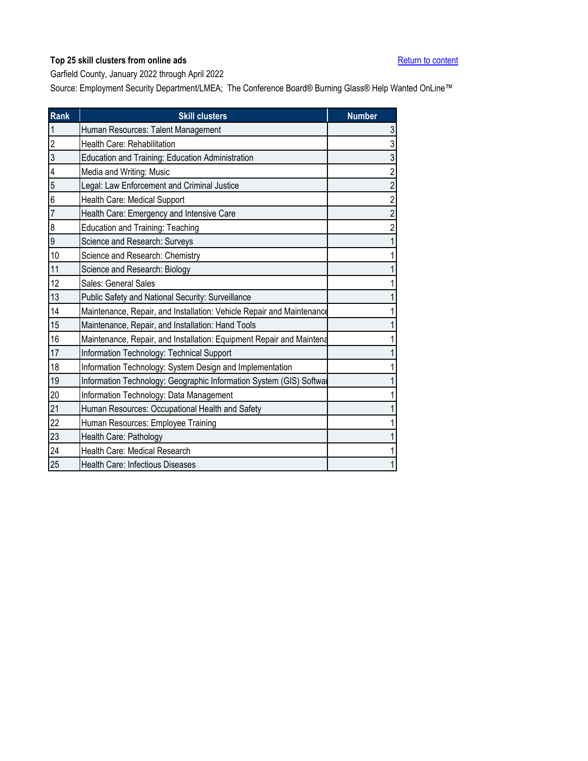<span id="page-13-0"></span>Garfield County, January 2022 through April 2022

| <b>Rank</b>    | <b>Skill clusters</b>                                                 | <b>Number</b>  |
|----------------|-----------------------------------------------------------------------|----------------|
| $\mathbf{1}$   | Human Resources: Talent Management                                    | 3              |
| $\overline{2}$ | Health Care: Rehabilitation                                           | 3              |
| 3              | Education and Training: Education Administration                      | 3              |
| 4              | Media and Writing: Music                                              | $\overline{2}$ |
| 5              | Legal: Law Enforcement and Criminal Justice                           | $\overline{2}$ |
| 6              | Health Care: Medical Support                                          | $\overline{c}$ |
| $\overline{7}$ | Health Care: Emergency and Intensive Care                             | $\overline{2}$ |
| 8              | <b>Education and Training: Teaching</b>                               | 2              |
| 9              | Science and Research: Surveys                                         |                |
| 10             | Science and Research: Chemistry                                       |                |
| 11             | Science and Research: Biology                                         |                |
| 12             | Sales: General Sales                                                  |                |
| 13             | Public Safety and National Security: Surveillance                     |                |
| 14             | Maintenance, Repair, and Installation: Vehicle Repair and Maintenance |                |
| 15             | Maintenance, Repair, and Installation: Hand Tools                     |                |
| 16             | Maintenance, Repair, and Installation: Equipment Repair and Maintena  |                |
| 17             | Information Technology: Technical Support                             |                |
| 18             | Information Technology: System Design and Implementation              |                |
| 19             | Information Technology: Geographic Information System (GIS) Softwal   |                |
| 20             | Information Technology: Data Management                               |                |
| 21             | Human Resources: Occupational Health and Safety                       |                |
| 22             | Human Resources: Employee Training                                    |                |
| 23             | Health Care: Pathology                                                |                |
| 24             | Health Care: Medical Research                                         |                |
| 25             | <b>Health Care: Infectious Diseases</b>                               |                |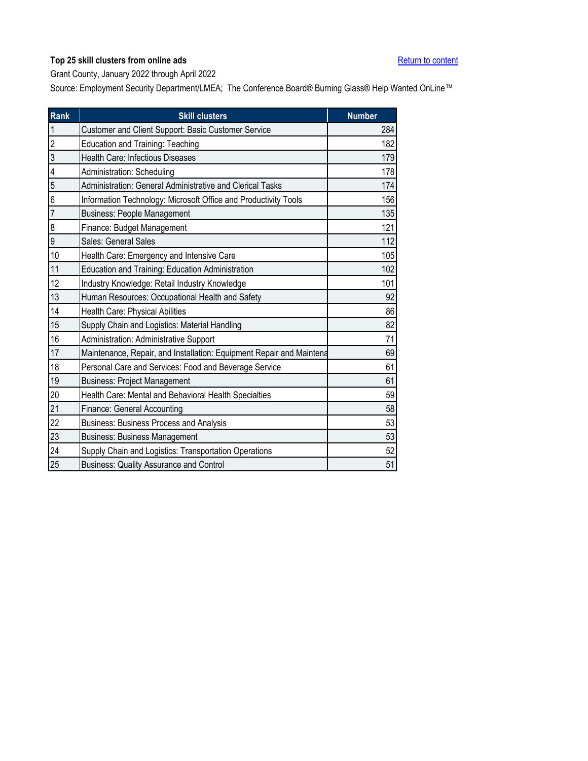<span id="page-14-0"></span>Grant County, January 2022 through April 2022

| Rank            | <b>Skill clusters</b>                                                | <b>Number</b> |
|-----------------|----------------------------------------------------------------------|---------------|
| $\mathbf{1}$    | Customer and Client Support: Basic Customer Service                  | 284           |
| $\overline{2}$  | <b>Education and Training: Teaching</b>                              | 182           |
| 3               | Health Care: Infectious Diseases                                     | 179           |
| 4               | Administration: Scheduling                                           | 178           |
| 5               | Administration: General Administrative and Clerical Tasks            | 174           |
| 6               | Information Technology: Microsoft Office and Productivity Tools      | 156           |
| $\overline{7}$  | <b>Business: People Management</b>                                   | 135           |
| 8               | Finance: Budget Management                                           | 121           |
| 9               | Sales: General Sales                                                 | 112           |
| 10              | Health Care: Emergency and Intensive Care                            | 105           |
| 11              | Education and Training: Education Administration                     | 102           |
| 12              | Industry Knowledge: Retail Industry Knowledge                        | 101           |
| 13              | Human Resources: Occupational Health and Safety                      | 92            |
| 14              | Health Care: Physical Abilities                                      | 86            |
| 15              | Supply Chain and Logistics: Material Handling                        | 82            |
| 16              | Administration: Administrative Support                               | 71            |
| 17              | Maintenance, Repair, and Installation: Equipment Repair and Maintena | 69            |
| 18              | Personal Care and Services: Food and Beverage Service                | 61            |
| 19              | <b>Business: Project Management</b>                                  | 61            |
| 20              | Health Care: Mental and Behavioral Health Specialties                | 59            |
| 21              | Finance: General Accounting                                          | 58            |
| 22              | Business: Business Process and Analysis                              | 53            |
| 23              | <b>Business: Business Management</b>                                 | 53            |
| $\overline{24}$ | Supply Chain and Logistics: Transportation Operations                | 52            |
| 25              | <b>Business: Quality Assurance and Control</b>                       | 51            |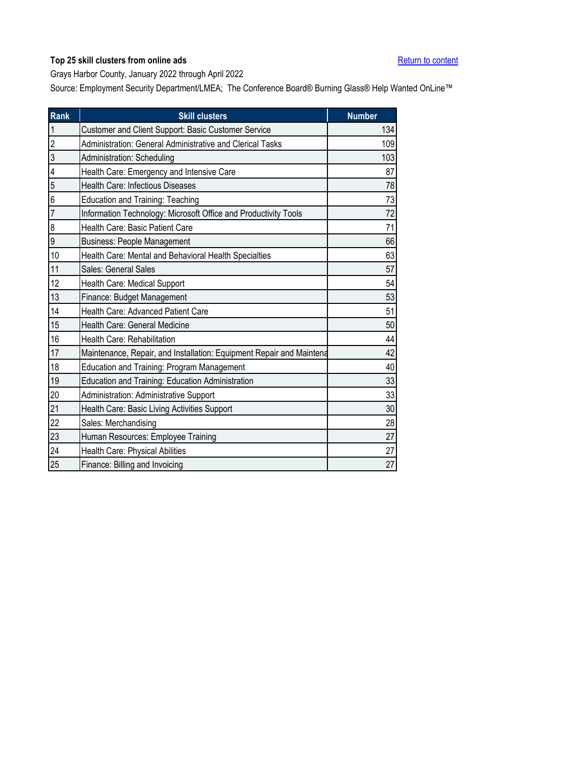<span id="page-15-0"></span>Grays Harbor County, January 2022 through April 2022

| Rank           | <b>Skill clusters</b>                                                | <b>Number</b> |
|----------------|----------------------------------------------------------------------|---------------|
| $\mathbf{1}$   | Customer and Client Support: Basic Customer Service                  | 134           |
| $\overline{2}$ | Administration: General Administrative and Clerical Tasks            | 109           |
| 3              | Administration: Scheduling                                           | 103           |
| 4              | Health Care: Emergency and Intensive Care                            | 87            |
| 5              | Health Care: Infectious Diseases                                     | 78            |
| 6              | Education and Training: Teaching                                     | 73            |
| $\overline{7}$ | Information Technology: Microsoft Office and Productivity Tools      | 72            |
| 8              | Health Care: Basic Patient Care                                      | 71            |
| $\overline{9}$ | <b>Business: People Management</b>                                   | 66            |
| 10             | Health Care: Mental and Behavioral Health Specialties                | 63            |
| 11             | Sales: General Sales                                                 | 57            |
| 12             | Health Care: Medical Support                                         | 54            |
| 13             | Finance: Budget Management                                           | 53            |
| 14             | Health Care: Advanced Patient Care                                   | 51            |
| 15             | Health Care: General Medicine                                        | 50            |
| 16             | Health Care: Rehabilitation                                          | 44            |
| 17             | Maintenance, Repair, and Installation: Equipment Repair and Maintena | 42            |
| 18             | Education and Training: Program Management                           | 40            |
| 19             | Education and Training: Education Administration                     | 33            |
| 20             | Administration: Administrative Support                               | 33            |
| 21             | Health Care: Basic Living Activities Support                         | 30            |
| 22             | Sales: Merchandising                                                 | 28            |
| 23             | Human Resources: Employee Training                                   | 27            |
| 24             | Health Care: Physical Abilities                                      | 27            |
| 25             | Finance: Billing and Invoicing                                       | 27            |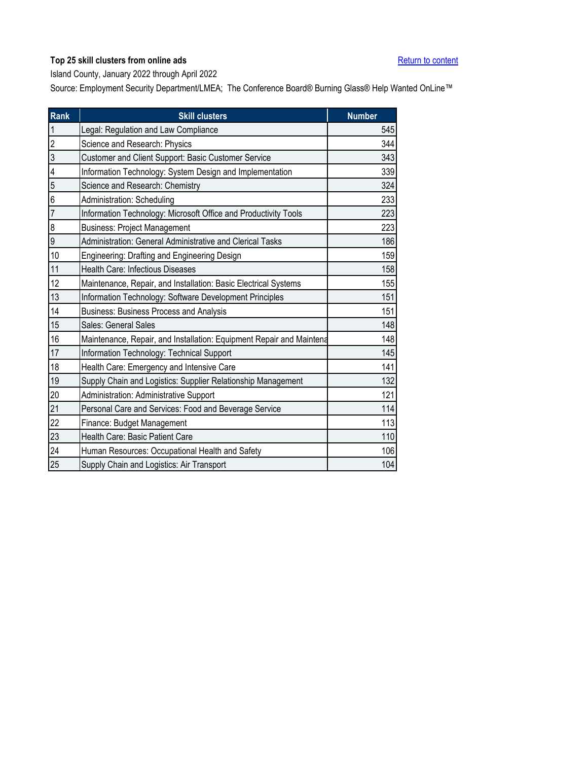<span id="page-16-0"></span>Island County, January 2022 through April 2022

| Rank                    | <b>Skill clusters</b>                                                | <b>Number</b> |
|-------------------------|----------------------------------------------------------------------|---------------|
| $\overline{1}$          | Legal: Regulation and Law Compliance                                 | 545           |
| $\overline{2}$          | Science and Research: Physics                                        | 344           |
| $\overline{3}$          | Customer and Client Support: Basic Customer Service                  | 343           |
| $\overline{\mathbf{4}}$ | Information Technology: System Design and Implementation             | 339           |
| 5                       | Science and Research: Chemistry                                      | 324           |
| 6                       | Administration: Scheduling                                           | 233           |
| $\overline{7}$          | Information Technology: Microsoft Office and Productivity Tools      | 223           |
| 8                       | <b>Business: Project Management</b>                                  | 223           |
| 9                       | Administration: General Administrative and Clerical Tasks            | 186           |
| 10                      | Engineering: Drafting and Engineering Design                         | 159           |
| 11                      | <b>Health Care: Infectious Diseases</b>                              | 158           |
| 12                      | Maintenance, Repair, and Installation: Basic Electrical Systems      | 155           |
| 13                      | Information Technology: Software Development Principles              | 151           |
| 14                      | Business: Business Process and Analysis                              | 151           |
| 15                      | Sales: General Sales                                                 | 148           |
| 16                      | Maintenance, Repair, and Installation: Equipment Repair and Maintena | 148           |
| 17                      | Information Technology: Technical Support                            | 145           |
| 18                      | Health Care: Emergency and Intensive Care                            | 141           |
| 19                      | Supply Chain and Logistics: Supplier Relationship Management         | 132           |
| 20                      | Administration: Administrative Support                               | 121           |
| 21                      | Personal Care and Services: Food and Beverage Service                | 114           |
| 22                      | Finance: Budget Management                                           | 113           |
| 23                      | Health Care: Basic Patient Care                                      | 110           |
| $\overline{24}$         | Human Resources: Occupational Health and Safety                      | 106           |
| 25                      | Supply Chain and Logistics: Air Transport                            | 104           |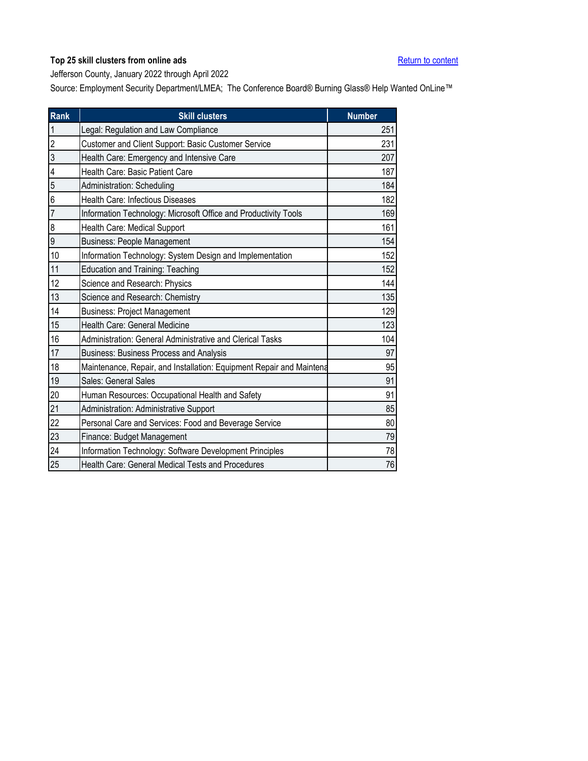<span id="page-17-0"></span>Jefferson County, January 2022 through April 2022

| <b>Rank</b>    | <b>Skill clusters</b>                                                | <b>Number</b> |
|----------------|----------------------------------------------------------------------|---------------|
| $\mathbf{1}$   | Legal: Regulation and Law Compliance                                 | 251           |
| $\overline{c}$ | Customer and Client Support: Basic Customer Service                  | 231           |
| 3              | Health Care: Emergency and Intensive Care                            | 207           |
| 4              | Health Care: Basic Patient Care                                      | 187           |
| 5              | Administration: Scheduling                                           | 184           |
| 6              | <b>Health Care: Infectious Diseases</b>                              | 182           |
| $\overline{7}$ | Information Technology: Microsoft Office and Productivity Tools      | 169           |
| 8              | Health Care: Medical Support                                         | 161           |
| 9              | <b>Business: People Management</b>                                   | 154           |
| 10             | Information Technology: System Design and Implementation             | 152           |
| 11             | <b>Education and Training: Teaching</b>                              | 152           |
| 12             | Science and Research: Physics                                        | 144           |
| 13             | Science and Research: Chemistry                                      | 135           |
| 14             | <b>Business: Project Management</b>                                  | 129           |
| 15             | Health Care: General Medicine                                        | 123           |
| 16             | Administration: General Administrative and Clerical Tasks            | 104           |
| 17             | <b>Business: Business Process and Analysis</b>                       | 97            |
| 18             | Maintenance, Repair, and Installation: Equipment Repair and Maintena | 95            |
| 19             | Sales: General Sales                                                 | 91            |
| 20             | Human Resources: Occupational Health and Safety                      | 91            |
| 21             | Administration: Administrative Support                               | 85            |
| 22             | Personal Care and Services: Food and Beverage Service                | 80            |
| 23             | Finance: Budget Management                                           | 79            |
| 24             | Information Technology: Software Development Principles              | 78            |
| 25             | Health Care: General Medical Tests and Procedures                    | 76            |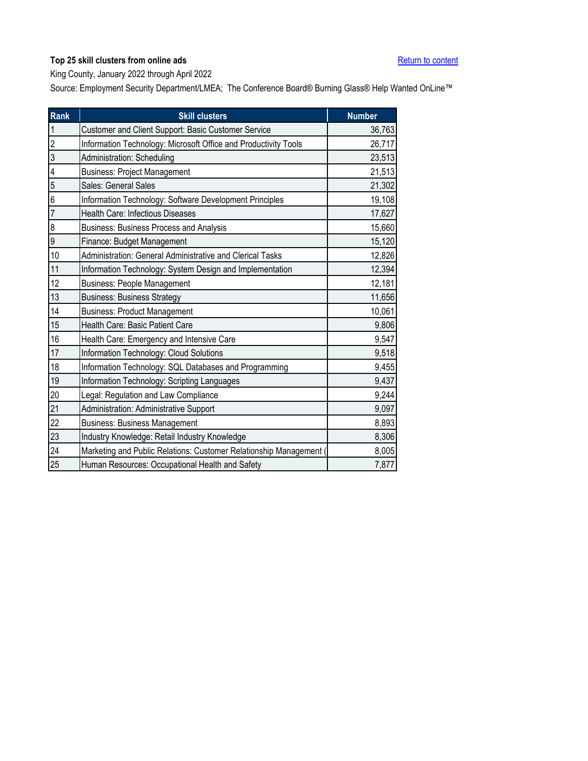<span id="page-18-0"></span>King County, January 2022 through April 2022

| Rank                    | <b>Skill clusters</b>                                            | <b>Number</b> |
|-------------------------|------------------------------------------------------------------|---------------|
| $\mathbf{1}$            | Customer and Client Support: Basic Customer Service              | 36,763        |
| $\overline{c}$          | Information Technology: Microsoft Office and Productivity Tools  | 26,717        |
| $\overline{3}$          | Administration: Scheduling                                       | 23,513        |
| $\overline{\mathbf{4}}$ | <b>Business: Project Management</b>                              | 21,513        |
| $\overline{5}$          | Sales: General Sales                                             | 21,302        |
| 6                       | Information Technology: Software Development Principles          | 19,108        |
| $\overline{7}$          | Health Care: Infectious Diseases                                 | 17,627        |
| 8                       | <b>Business: Business Process and Analysis</b>                   | 15,660        |
| 9                       | Finance: Budget Management                                       | 15,120        |
| 10                      | Administration: General Administrative and Clerical Tasks        | 12,826        |
| 11                      | Information Technology: System Design and Implementation         | 12,394        |
| 12                      | <b>Business: People Management</b>                               | 12,181        |
| 13                      | <b>Business: Business Strategy</b>                               | 11,656        |
| 14                      | <b>Business: Product Management</b>                              | 10,061        |
| 15                      | Health Care: Basic Patient Care                                  | 9,806         |
| 16                      | Health Care: Emergency and Intensive Care                        | 9,547         |
| 17                      | Information Technology: Cloud Solutions                          | 9,518         |
| 18                      | Information Technology: SQL Databases and Programming            | 9,455         |
| 19                      | Information Technology: Scripting Languages                      | 9,437         |
| 20                      | Legal: Regulation and Law Compliance                             | 9,244         |
| 21                      | Administration: Administrative Support                           | 9,097         |
| 22                      | <b>Business: Business Management</b>                             | 8,893         |
| 23                      | Industry Knowledge: Retail Industry Knowledge                    | 8,306         |
| 24                      | Marketing and Public Relations: Customer Relationship Management | 8,005         |
| 25                      | Human Resources: Occupational Health and Safety                  | 7,877         |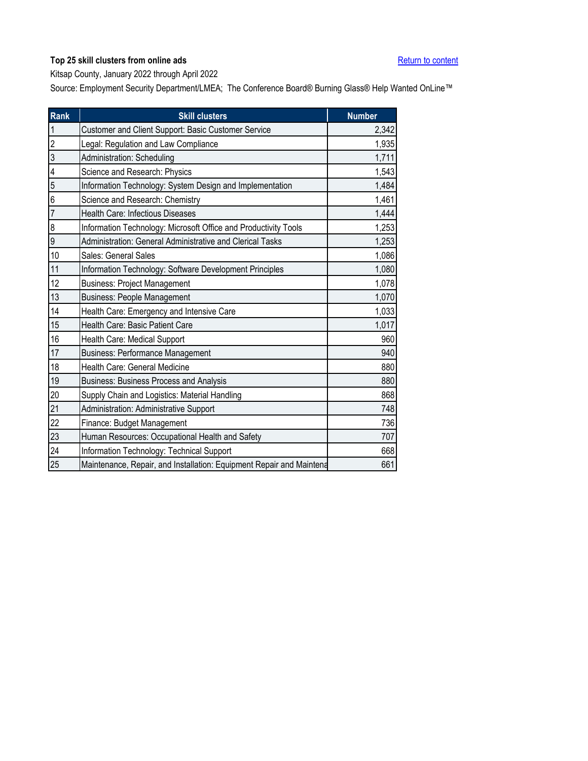<span id="page-19-0"></span>Kitsap County, January 2022 through April 2022

| Rank           | <b>Skill clusters</b>                                                | <b>Number</b> |
|----------------|----------------------------------------------------------------------|---------------|
| $\overline{1}$ | Customer and Client Support: Basic Customer Service                  | 2,342         |
| $\overline{2}$ | Legal: Regulation and Law Compliance                                 | 1,935         |
| $\overline{3}$ | Administration: Scheduling                                           | 1,711         |
| 4              | Science and Research: Physics                                        | 1,543         |
| 5              | Information Technology: System Design and Implementation             | 1,484         |
| 6              | Science and Research: Chemistry                                      | 1,461         |
| $\overline{7}$ | Health Care: Infectious Diseases                                     | 1,444         |
| 8              | Information Technology: Microsoft Office and Productivity Tools      | 1,253         |
| 9              | Administration: General Administrative and Clerical Tasks            | 1,253         |
| 10             | Sales: General Sales                                                 | 1,086         |
| 11             | Information Technology: Software Development Principles              | 1,080         |
| 12             | <b>Business: Project Management</b>                                  | 1,078         |
| 13             | <b>Business: People Management</b>                                   | 1,070         |
| 14             | Health Care: Emergency and Intensive Care                            | 1,033         |
| 15             | Health Care: Basic Patient Care                                      | 1,017         |
| 16             | Health Care: Medical Support                                         | 960           |
| 17             | <b>Business: Performance Management</b>                              | 940           |
| 18             | Health Care: General Medicine                                        | 880           |
| 19             | Business: Business Process and Analysis                              | 880           |
| 20             | Supply Chain and Logistics: Material Handling                        | 868           |
| 21             | Administration: Administrative Support                               | 748           |
| 22             | Finance: Budget Management                                           | 736           |
| 23             | Human Resources: Occupational Health and Safety                      | 707           |
| 24             | Information Technology: Technical Support                            | 668           |
| 25             | Maintenance, Repair, and Installation: Equipment Repair and Maintena | 661           |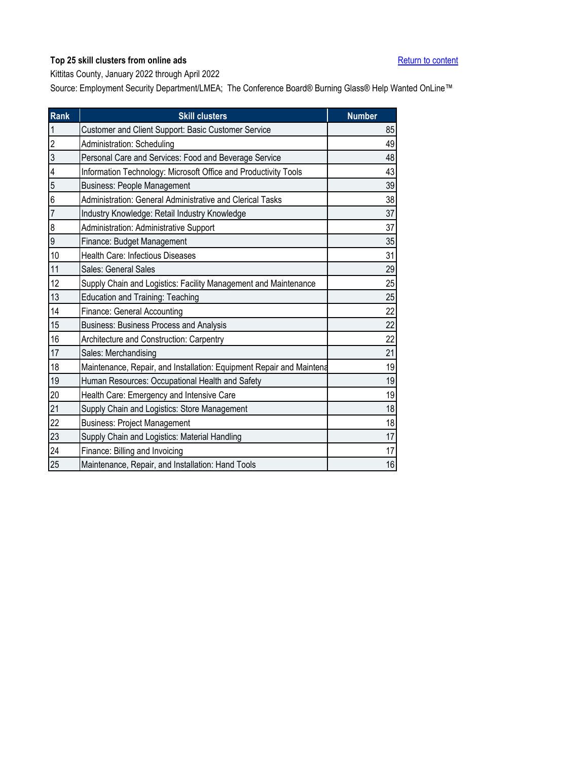<span id="page-20-0"></span>Kittitas County, January 2022 through April 2022

| Rank           | <b>Skill clusters</b>                                                | <b>Number</b> |
|----------------|----------------------------------------------------------------------|---------------|
| $\mathbf{1}$   | Customer and Client Support: Basic Customer Service                  | 85            |
| $\overline{2}$ | Administration: Scheduling                                           | 49            |
| 3              | Personal Care and Services: Food and Beverage Service                | 48            |
| 4              | Information Technology: Microsoft Office and Productivity Tools      | 43            |
| 5              | <b>Business: People Management</b>                                   | 39            |
| 6              | Administration: General Administrative and Clerical Tasks            | 38            |
| $\overline{7}$ | Industry Knowledge: Retail Industry Knowledge                        | 37            |
| 8              | Administration: Administrative Support                               | 37            |
| 9              | Finance: Budget Management                                           | 35            |
| 10             | <b>Health Care: Infectious Diseases</b>                              | 31            |
| 11             | Sales: General Sales                                                 | 29            |
| 12             | Supply Chain and Logistics: Facility Management and Maintenance      | 25            |
| 13             | Education and Training: Teaching                                     | 25            |
| 14             | <b>Finance: General Accounting</b>                                   | 22            |
| 15             | <b>Business: Business Process and Analysis</b>                       | 22            |
| 16             | Architecture and Construction: Carpentry                             | 22            |
| 17             | Sales: Merchandising                                                 | 21            |
| 18             | Maintenance, Repair, and Installation: Equipment Repair and Maintena | 19            |
| 19             | Human Resources: Occupational Health and Safety                      | 19            |
| 20             | Health Care: Emergency and Intensive Care                            | 19            |
| 21             | Supply Chain and Logistics: Store Management                         | 18            |
| 22             | <b>Business: Project Management</b>                                  | 18            |
| 23             | Supply Chain and Logistics: Material Handling                        | 17            |
| 24             | Finance: Billing and Invoicing                                       | 17            |
| 25             | Maintenance, Repair, and Installation: Hand Tools                    | 16            |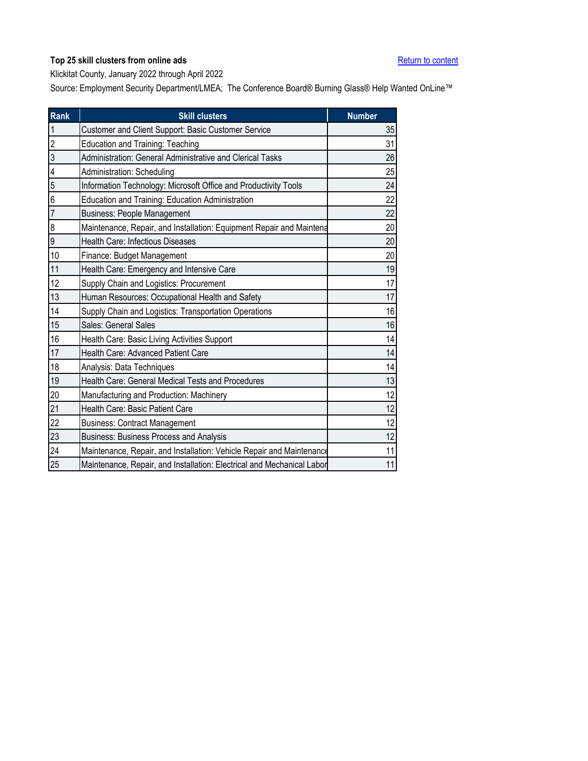<span id="page-21-0"></span>Klickitat County, January 2022 through April 2022

| Rank           | <b>Skill clusters</b>                                                  | <b>Number</b> |
|----------------|------------------------------------------------------------------------|---------------|
| $\mathbf{1}$   | Customer and Client Support: Basic Customer Service                    | 35            |
| $\overline{2}$ | Education and Training: Teaching                                       | 31            |
| $\overline{3}$ | Administration: General Administrative and Clerical Tasks              | 26            |
| 4              | Administration: Scheduling                                             | 25            |
| 5              | Information Technology: Microsoft Office and Productivity Tools        | 24            |
| 6              | Education and Training: Education Administration                       | 22            |
| $\overline{7}$ | <b>Business: People Management</b>                                     | 22            |
| 8              | Maintenance, Repair, and Installation: Equipment Repair and Maintena   | 20            |
| 9              | <b>Health Care: Infectious Diseases</b>                                | 20            |
| 10             | Finance: Budget Management                                             | 20            |
| 11             | Health Care: Emergency and Intensive Care                              | 19            |
| 12             | Supply Chain and Logistics: Procurement                                | 17            |
| 13             | Human Resources: Occupational Health and Safety                        | 17            |
| 14             | Supply Chain and Logistics: Transportation Operations                  | 16            |
| 15             | Sales: General Sales                                                   | 16            |
| 16             | Health Care: Basic Living Activities Support                           | 14            |
| 17             | Health Care: Advanced Patient Care                                     | 14            |
| 18             | Analysis: Data Techniques                                              | 14            |
| 19             | Health Care: General Medical Tests and Procedures                      | 13            |
| 20             | Manufacturing and Production: Machinery                                | 12            |
| 21             | Health Care: Basic Patient Care                                        | 12            |
| 22             | <b>Business: Contract Management</b>                                   | 12            |
| 23             | Business: Business Process and Analysis                                | 12            |
| 24             | Maintenance, Repair, and Installation: Vehicle Repair and Maintenance  | 11            |
| 25             | Maintenance, Repair, and Installation: Electrical and Mechanical Labor | 11            |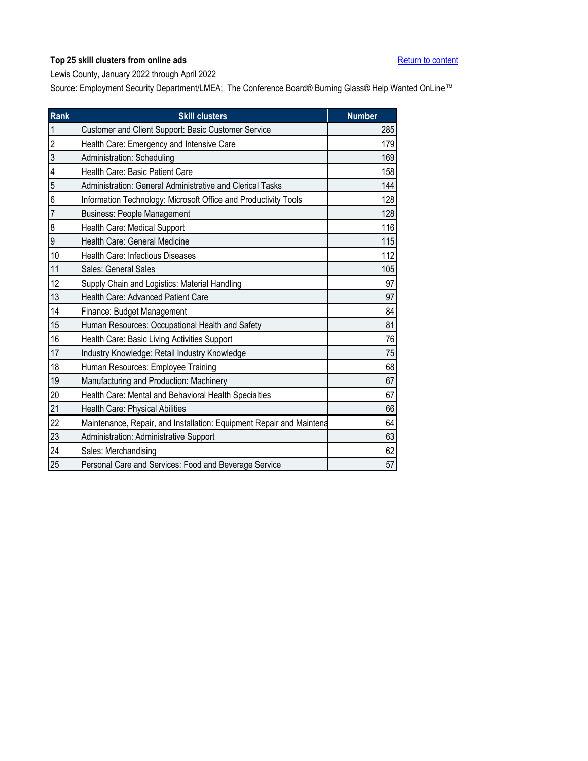<span id="page-22-0"></span>Lewis County, January 2022 through April 2022

| Rank           | <b>Skill clusters</b>                                                | <b>Number</b> |
|----------------|----------------------------------------------------------------------|---------------|
| $\mathbf{1}$   | Customer and Client Support: Basic Customer Service                  | 285           |
| $\overline{2}$ | Health Care: Emergency and Intensive Care                            | 179           |
| 3              | Administration: Scheduling                                           | 169           |
| 4              | Health Care: Basic Patient Care                                      | 158           |
| 5              | Administration: General Administrative and Clerical Tasks            | 144           |
| 6              | Information Technology: Microsoft Office and Productivity Tools      | 128           |
| $\overline{7}$ | <b>Business: People Management</b>                                   | 128           |
| 8              | Health Care: Medical Support                                         | 116           |
| 9              | Health Care: General Medicine                                        | 115           |
| 10             | Health Care: Infectious Diseases                                     | 112           |
| 11             | Sales: General Sales                                                 | 105           |
| 12             | Supply Chain and Logistics: Material Handling                        | 97            |
| 13             | Health Care: Advanced Patient Care                                   | 97            |
| 14             | Finance: Budget Management                                           | 84            |
| 15             | Human Resources: Occupational Health and Safety                      | 81            |
| 16             | Health Care: Basic Living Activities Support                         | 76            |
| 17             | Industry Knowledge: Retail Industry Knowledge                        | 75            |
| 18             | Human Resources: Employee Training                                   | 68            |
| 19             | Manufacturing and Production: Machinery                              | 67            |
| 20             | Health Care: Mental and Behavioral Health Specialties                | 67            |
| 21             | Health Care: Physical Abilities                                      | 66            |
| 22             | Maintenance, Repair, and Installation: Equipment Repair and Maintena | 64            |
| 23             | Administration: Administrative Support                               | 63            |
| 24             | Sales: Merchandising                                                 | 62            |
| 25             | Personal Care and Services: Food and Beverage Service                | 57            |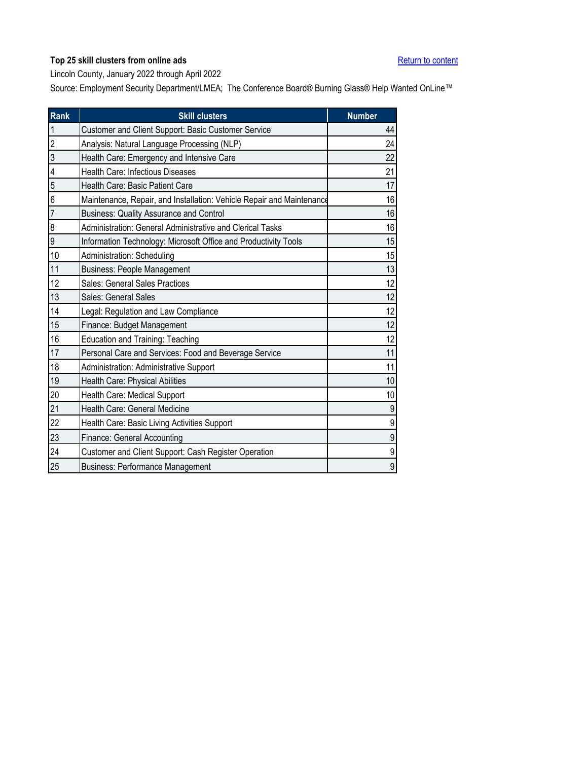<span id="page-23-0"></span>Lincoln County, January 2022 through April 2022

| Rank           | <b>Skill clusters</b>                                                 | <b>Number</b> |
|----------------|-----------------------------------------------------------------------|---------------|
| $\mathbf{1}$   | Customer and Client Support: Basic Customer Service                   | 44            |
| $\overline{2}$ | Analysis: Natural Language Processing (NLP)                           | 24            |
| 3              | Health Care: Emergency and Intensive Care                             | 22            |
| 4              | Health Care: Infectious Diseases                                      | 21            |
| 5              | Health Care: Basic Patient Care                                       | 17            |
| 6              | Maintenance, Repair, and Installation: Vehicle Repair and Maintenance | 16            |
| $\overline{7}$ | <b>Business: Quality Assurance and Control</b>                        | 16            |
| 8              | Administration: General Administrative and Clerical Tasks             | 16            |
| 9              | Information Technology: Microsoft Office and Productivity Tools       | 15            |
| 10             | Administration: Scheduling                                            | 15            |
| 11             | <b>Business: People Management</b>                                    | 13            |
| 12             | Sales: General Sales Practices                                        | 12            |
| 13             | Sales: General Sales                                                  | 12            |
| 14             | Legal: Regulation and Law Compliance                                  | 12            |
| 15             | Finance: Budget Management                                            | 12            |
| 16             | <b>Education and Training: Teaching</b>                               | 12            |
| 17             | Personal Care and Services: Food and Beverage Service                 | 11            |
| 18             | <b>Administration: Administrative Support</b>                         | 11            |
| 19             | Health Care: Physical Abilities                                       | 10            |
| 20             | Health Care: Medical Support                                          | 10            |
| 21             | Health Care: General Medicine                                         | 9             |
| 22             | Health Care: Basic Living Activities Support                          | 9             |
| 23             | Finance: General Accounting                                           | 9             |
| 24             | Customer and Client Support: Cash Register Operation                  | 9             |
| 25             | <b>Business: Performance Management</b>                               | 9             |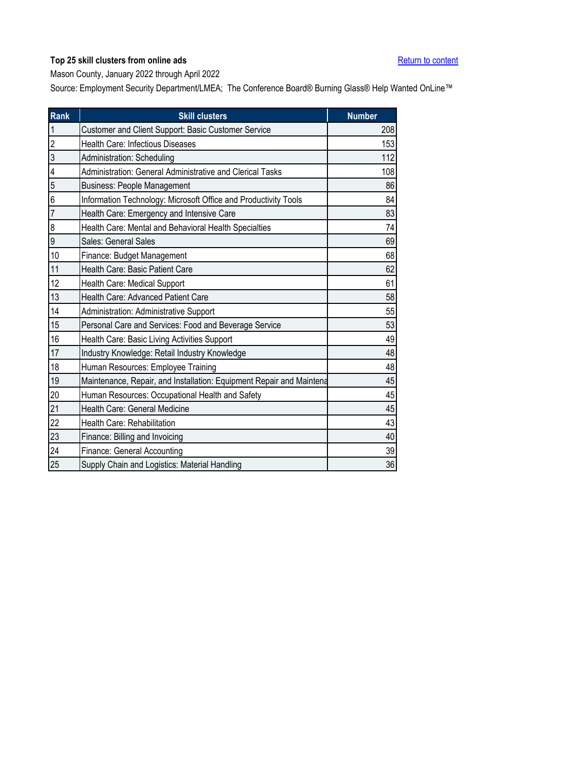<span id="page-24-0"></span>Mason County, January 2022 through April 2022

| Rank             | <b>Skill clusters</b>                                                | <b>Number</b> |
|------------------|----------------------------------------------------------------------|---------------|
| 1                | Customer and Client Support: Basic Customer Service                  | 208           |
| $\overline{c}$   | Health Care: Infectious Diseases                                     | 153           |
| 3                | Administration: Scheduling                                           | 112           |
| 4                | Administration: General Administrative and Clerical Tasks            | 108           |
| 5                | <b>Business: People Management</b>                                   | 86            |
| 6                | Information Technology: Microsoft Office and Productivity Tools      | 84            |
| 7                | Health Care: Emergency and Intensive Care                            | 83            |
| $\boldsymbol{8}$ | Health Care: Mental and Behavioral Health Specialties                | 74            |
| 9                | Sales: General Sales                                                 | 69            |
| 10               | Finance: Budget Management                                           | 68            |
| 11               | Health Care: Basic Patient Care                                      | 62            |
| 12               | Health Care: Medical Support                                         | 61            |
| 13               | Health Care: Advanced Patient Care                                   | 58            |
| 14               | Administration: Administrative Support                               | 55            |
| 15               | Personal Care and Services: Food and Beverage Service                | 53            |
| 16               | Health Care: Basic Living Activities Support                         | 49            |
| 17               | Industry Knowledge: Retail Industry Knowledge                        | 48            |
| 18               | Human Resources: Employee Training                                   | 48            |
| 19               | Maintenance, Repair, and Installation: Equipment Repair and Maintena | 45            |
| 20               | Human Resources: Occupational Health and Safety                      | 45            |
| 21               | Health Care: General Medicine                                        | 45            |
| 22               | Health Care: Rehabilitation                                          | 43            |
| 23               | Finance: Billing and Invoicing                                       | 40            |
| 24               | Finance: General Accounting                                          | 39            |
| 25               | Supply Chain and Logistics: Material Handling                        | 36            |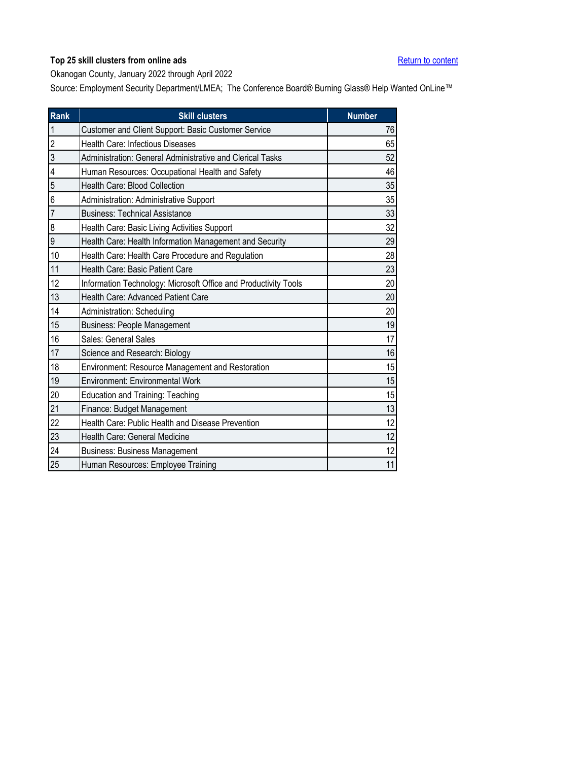<span id="page-25-0"></span>Okanogan County, January 2022 through April 2022

| Rank           | <b>Skill clusters</b>                                           | <b>Number</b> |
|----------------|-----------------------------------------------------------------|---------------|
| $\mathbf{1}$   | Customer and Client Support: Basic Customer Service             | 76            |
| $\overline{2}$ | Health Care: Infectious Diseases                                | 65            |
| 3              | Administration: General Administrative and Clerical Tasks       | 52            |
| 4              | Human Resources: Occupational Health and Safety                 | 46            |
| 5              | Health Care: Blood Collection                                   | 35            |
| 6              | Administration: Administrative Support                          | 35            |
| $\overline{7}$ | <b>Business: Technical Assistance</b>                           | 33            |
| 8              | Health Care: Basic Living Activities Support                    | 32            |
| 9              | Health Care: Health Information Management and Security         | 29            |
| 10             | Health Care: Health Care Procedure and Regulation               | 28            |
| 11             | Health Care: Basic Patient Care                                 | 23            |
| 12             | Information Technology: Microsoft Office and Productivity Tools | 20            |
| 13             | Health Care: Advanced Patient Care                              | 20            |
| 14             | Administration: Scheduling                                      | 20            |
| 15             | <b>Business: People Management</b>                              | 19            |
| 16             | Sales: General Sales                                            | 17            |
| 17             | Science and Research: Biology                                   | 16            |
| 18             | Environment: Resource Management and Restoration                | 15            |
| 19             | <b>Environment: Environmental Work</b>                          | 15            |
| 20             | <b>Education and Training: Teaching</b>                         | 15            |
| 21             | Finance: Budget Management                                      | 13            |
| 22             | Health Care: Public Health and Disease Prevention               | 12            |
| 23             | Health Care: General Medicine                                   | 12            |
| 24             | <b>Business: Business Management</b>                            | 12            |
| 25             | Human Resources: Employee Training                              | 11            |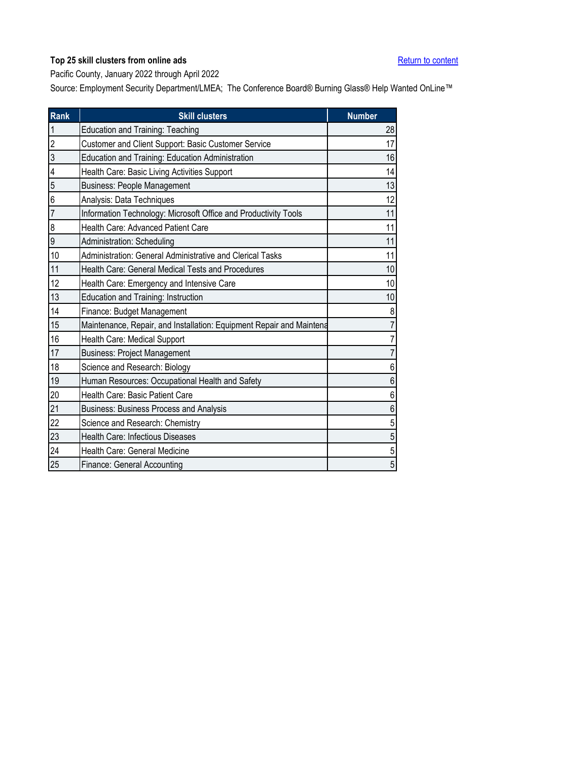<span id="page-26-0"></span>Pacific County, January 2022 through April 2022

| <b>Rank</b>    | <b>Skill clusters</b>                                                | <b>Number</b> |
|----------------|----------------------------------------------------------------------|---------------|
| $\overline{1}$ | Education and Training: Teaching                                     | 28            |
| $\overline{2}$ | Customer and Client Support: Basic Customer Service                  | 17            |
| 3              | Education and Training: Education Administration                     | 16            |
| 4              | Health Care: Basic Living Activities Support                         | 14            |
| 5              | <b>Business: People Management</b>                                   | 13            |
| 6              | Analysis: Data Techniques                                            | 12            |
| $\overline{7}$ | Information Technology: Microsoft Office and Productivity Tools      | 11            |
| 8              | Health Care: Advanced Patient Care                                   | 11            |
| 9              | Administration: Scheduling                                           | 11            |
| 10             | Administration: General Administrative and Clerical Tasks            | 11            |
| 11             | Health Care: General Medical Tests and Procedures                    | 10            |
| 12             | Health Care: Emergency and Intensive Care                            | 10            |
| 13             | Education and Training: Instruction                                  | 10            |
| 14             | Finance: Budget Management                                           | 8             |
| 15             | Maintenance, Repair, and Installation: Equipment Repair and Maintena | 7             |
| 16             | Health Care: Medical Support                                         | 7             |
| 17             | <b>Business: Project Management</b>                                  | 7             |
| 18             | Science and Research: Biology                                        | 6             |
| 19             | Human Resources: Occupational Health and Safety                      | 6             |
| 20             | Health Care: Basic Patient Care                                      | 6             |
| 21             | <b>Business: Business Process and Analysis</b>                       | 6             |
| 22             | Science and Research: Chemistry                                      | 5             |
| 23             | Health Care: Infectious Diseases                                     | 5             |
| 24             | Health Care: General Medicine                                        | 5             |
| 25             | Finance: General Accounting                                          | 5             |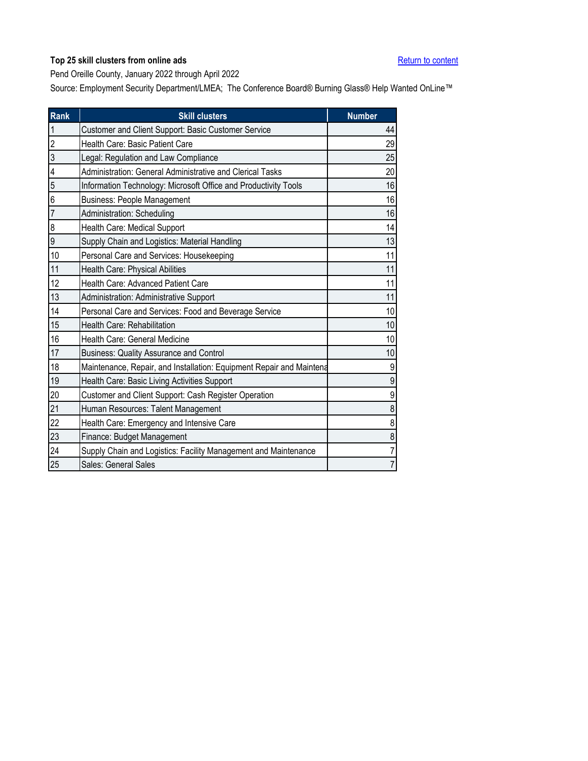<span id="page-27-0"></span>Pend Oreille County, January 2022 through April 2022

| <b>Rank</b>    | <b>Skill clusters</b>                                                | <b>Number</b>  |
|----------------|----------------------------------------------------------------------|----------------|
| $\overline{1}$ | Customer and Client Support: Basic Customer Service                  | 44             |
| $\overline{2}$ | Health Care: Basic Patient Care                                      | 29             |
| 3              | Legal: Regulation and Law Compliance                                 | 25             |
| 4              | Administration: General Administrative and Clerical Tasks            | 20             |
| 5              | Information Technology: Microsoft Office and Productivity Tools      | 16             |
| 6              | <b>Business: People Management</b>                                   | 16             |
| $\overline{7}$ | Administration: Scheduling                                           | 16             |
| 8              | Health Care: Medical Support                                         | 14             |
| 9              | Supply Chain and Logistics: Material Handling                        | 13             |
| 10             | Personal Care and Services: Housekeeping                             | 11             |
| 11             | Health Care: Physical Abilities                                      | 11             |
| 12             | Health Care: Advanced Patient Care                                   | 11             |
| 13             | Administration: Administrative Support                               | 11             |
| 14             | Personal Care and Services: Food and Beverage Service                | 10             |
| 15             | Health Care: Rehabilitation                                          | 10             |
| 16             | Health Care: General Medicine                                        | 10             |
| 17             | <b>Business: Quality Assurance and Control</b>                       | 10             |
| 18             | Maintenance, Repair, and Installation: Equipment Repair and Maintena | 9              |
| 19             | Health Care: Basic Living Activities Support                         | 9              |
| 20             | Customer and Client Support: Cash Register Operation                 | 9              |
| 21             | Human Resources: Talent Management                                   | 8              |
| 22             | Health Care: Emergency and Intensive Care                            | 8              |
| 23             | Finance: Budget Management                                           | 8              |
| 24             | Supply Chain and Logistics: Facility Management and Maintenance      | 7              |
| 25             | Sales: General Sales                                                 | $\overline{7}$ |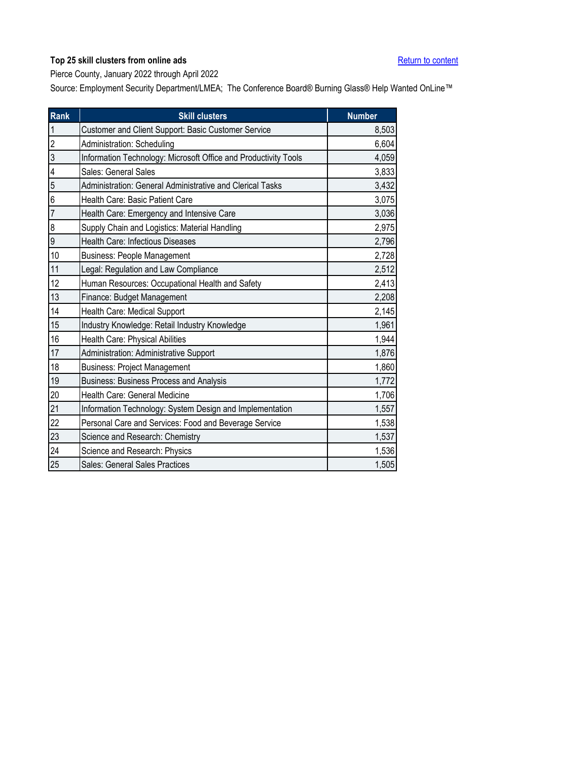<span id="page-28-0"></span>Pierce County, January 2022 through April 2022

| <b>Rank</b>      | <b>Skill clusters</b>                                           | <b>Number</b> |
|------------------|-----------------------------------------------------------------|---------------|
| $\overline{1}$   | Customer and Client Support: Basic Customer Service             | 8,503         |
| $\overline{c}$   | Administration: Scheduling                                      | 6,604         |
| $\overline{3}$   | Information Technology: Microsoft Office and Productivity Tools | 4,059         |
| 4                | Sales: General Sales                                            | 3,833         |
| 5                | Administration: General Administrative and Clerical Tasks       | 3,432         |
| 6                | Health Care: Basic Patient Care                                 | 3,075         |
| $\overline{7}$   | Health Care: Emergency and Intensive Care                       | 3,036         |
| $\boldsymbol{8}$ | Supply Chain and Logistics: Material Handling                   | 2,975         |
| 9                | <b>Health Care: Infectious Diseases</b>                         | 2,796         |
| 10               | <b>Business: People Management</b>                              | 2,728         |
| 11               | Legal: Regulation and Law Compliance                            | 2,512         |
| 12               | Human Resources: Occupational Health and Safety                 | 2,413         |
| 13               | Finance: Budget Management                                      | 2,208         |
| 14               | Health Care: Medical Support                                    | 2,145         |
| 15               | Industry Knowledge: Retail Industry Knowledge                   | 1,961         |
| 16               | Health Care: Physical Abilities                                 | 1,944         |
| 17               | Administration: Administrative Support                          | 1,876         |
| 18               | <b>Business: Project Management</b>                             | 1,860         |
| 19               | Business: Business Process and Analysis                         | 1,772         |
| 20               | Health Care: General Medicine                                   | 1,706         |
| 21               | Information Technology: System Design and Implementation        | 1,557         |
| 22               | Personal Care and Services: Food and Beverage Service           | 1,538         |
| 23               | Science and Research: Chemistry                                 | 1,537         |
| 24               | Science and Research: Physics                                   | 1,536         |
| 25               | Sales: General Sales Practices                                  | 1,505         |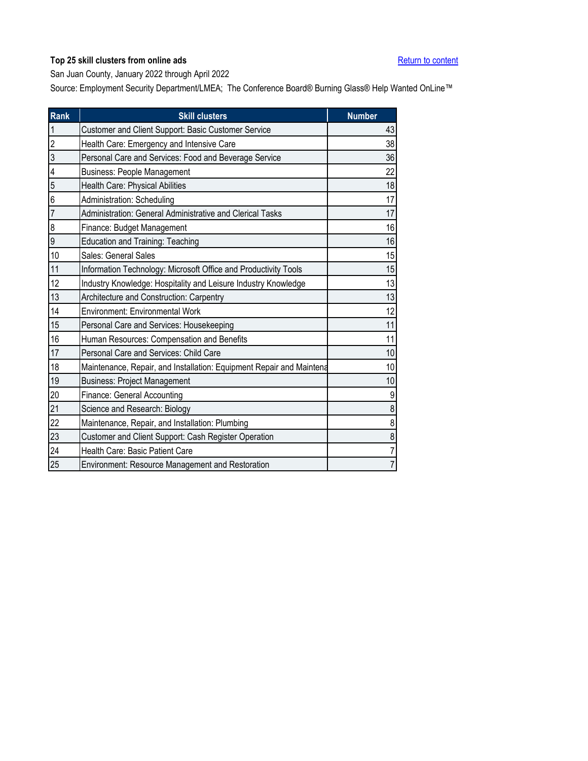<span id="page-29-0"></span>San Juan County, January 2022 through April 2022

| Rank           | <b>Skill clusters</b>                                                | <b>Number</b>  |
|----------------|----------------------------------------------------------------------|----------------|
| $\mathbf{1}$   | Customer and Client Support: Basic Customer Service                  | 43             |
| $\overline{c}$ | Health Care: Emergency and Intensive Care                            | 38             |
| $\overline{3}$ | Personal Care and Services: Food and Beverage Service                | 36             |
| 4              | <b>Business: People Management</b>                                   | 22             |
| 5              | Health Care: Physical Abilities                                      | 18             |
| 6              | Administration: Scheduling                                           | 17             |
| $\overline{7}$ | Administration: General Administrative and Clerical Tasks            | 17             |
| 8              | Finance: Budget Management                                           | 16             |
| 9              | <b>Education and Training: Teaching</b>                              | 16             |
| 10             | Sales: General Sales                                                 | 15             |
| 11             | Information Technology: Microsoft Office and Productivity Tools      | 15             |
| 12             | Industry Knowledge: Hospitality and Leisure Industry Knowledge       | 13             |
| 13             | Architecture and Construction: Carpentry                             | 13             |
| 14             | <b>Environment: Environmental Work</b>                               | 12             |
| 15             | Personal Care and Services: Housekeeping                             | 11             |
| 16             | Human Resources: Compensation and Benefits                           | 11             |
| 17             | Personal Care and Services: Child Care                               | 10             |
| 18             | Maintenance, Repair, and Installation: Equipment Repair and Maintena | 10             |
| 19             | <b>Business: Project Management</b>                                  | 10             |
| 20             | Finance: General Accounting                                          | 9              |
| 21             | Science and Research: Biology                                        | 8              |
| 22             | Maintenance, Repair, and Installation: Plumbing                      | 8              |
| 23             | Customer and Client Support: Cash Register Operation                 | 8              |
| 24             | Health Care: Basic Patient Care                                      | $\overline{7}$ |
| 25             | Environment: Resource Management and Restoration                     | $\overline{7}$ |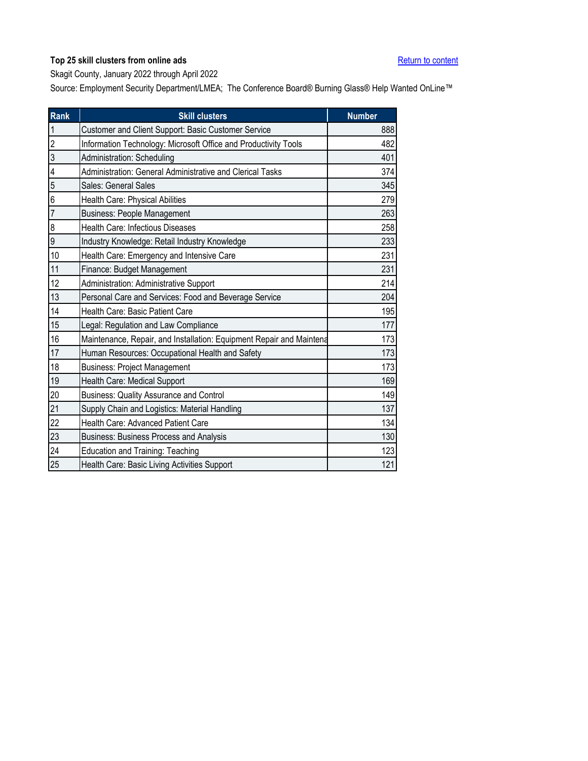<span id="page-30-0"></span>Skagit County, January 2022 through April 2022

| <b>Rank</b>    | <b>Skill clusters</b>                                                | <b>Number</b> |
|----------------|----------------------------------------------------------------------|---------------|
| $\overline{1}$ | Customer and Client Support: Basic Customer Service                  | 888           |
| $\overline{c}$ | Information Technology: Microsoft Office and Productivity Tools      | 482           |
| 3              | Administration: Scheduling                                           | 401           |
| 4              | Administration: General Administrative and Clerical Tasks            | 374           |
| 5              | Sales: General Sales                                                 | 345           |
| 6              | Health Care: Physical Abilities                                      | 279           |
| $\overline{7}$ | <b>Business: People Management</b>                                   | 263           |
| 8              | <b>Health Care: Infectious Diseases</b>                              | 258           |
| 9              | Industry Knowledge: Retail Industry Knowledge                        | 233           |
| 10             | Health Care: Emergency and Intensive Care                            | 231           |
| 11             | Finance: Budget Management                                           | 231           |
| 12             | Administration: Administrative Support                               | 214           |
| 13             | Personal Care and Services: Food and Beverage Service                | 204           |
| 14             | Health Care: Basic Patient Care                                      | 195           |
| 15             | Legal: Regulation and Law Compliance                                 | 177           |
| 16             | Maintenance, Repair, and Installation: Equipment Repair and Maintena | 173           |
| 17             | Human Resources: Occupational Health and Safety                      | 173           |
| 18             | <b>Business: Project Management</b>                                  | 173           |
| 19             | Health Care: Medical Support                                         | 169           |
| 20             | <b>Business: Quality Assurance and Control</b>                       | 149           |
| 21             | Supply Chain and Logistics: Material Handling                        | 137           |
| 22             | Health Care: Advanced Patient Care                                   | 134           |
| 23             | Business: Business Process and Analysis                              | 130           |
| 24             | <b>Education and Training: Teaching</b>                              | 123           |
| 25             | Health Care: Basic Living Activities Support                         | 121           |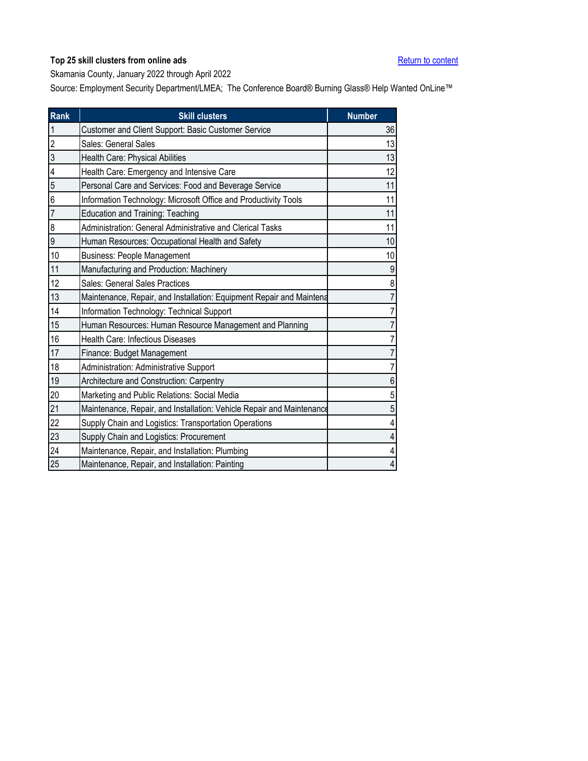<span id="page-31-0"></span>Skamania County, January 2022 through April 2022

| <b>Rank</b>    | <b>Skill clusters</b>                                                 | <b>Number</b> |
|----------------|-----------------------------------------------------------------------|---------------|
| $\mathbf{1}$   | Customer and Client Support: Basic Customer Service                   | 36            |
| $\overline{2}$ | Sales: General Sales                                                  | 13            |
| 3              | Health Care: Physical Abilities                                       | 13            |
| 4              | Health Care: Emergency and Intensive Care                             | 12            |
| 5              | Personal Care and Services: Food and Beverage Service                 | 11            |
| 6              | Information Technology: Microsoft Office and Productivity Tools       | 11            |
| $\overline{7}$ | <b>Education and Training: Teaching</b>                               | 11            |
| 8              | Administration: General Administrative and Clerical Tasks             | 11            |
| 9              | Human Resources: Occupational Health and Safety                       | 10            |
| 10             | <b>Business: People Management</b>                                    | 10            |
| 11             | Manufacturing and Production: Machinery                               | 9             |
| 12             | Sales: General Sales Practices                                        | 8             |
| 13             | Maintenance, Repair, and Installation: Equipment Repair and Maintena  |               |
| 14             | Information Technology: Technical Support                             |               |
| 15             | Human Resources: Human Resource Management and Planning               |               |
| 16             | Health Care: Infectious Diseases                                      |               |
| 17             | Finance: Budget Management                                            |               |
| 18             | Administration: Administrative Support                                |               |
| 19             | Architecture and Construction: Carpentry                              | 6             |
| 20             | Marketing and Public Relations: Social Media                          | 5             |
| 21             | Maintenance, Repair, and Installation: Vehicle Repair and Maintenance | 5             |
| 22             | Supply Chain and Logistics: Transportation Operations                 |               |
| 23             | Supply Chain and Logistics: Procurement                               |               |
| 24             | Maintenance, Repair, and Installation: Plumbing                       | 4             |
| 25             | Maintenance, Repair, and Installation: Painting                       | 4             |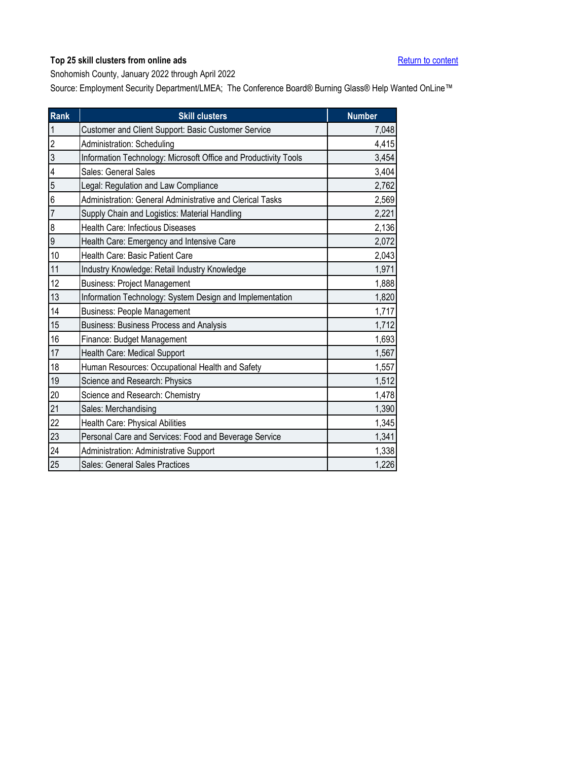<span id="page-32-0"></span>Snohomish County, January 2022 through April 2022

| Rank           | <b>Skill clusters</b>                                           | <b>Number</b> |
|----------------|-----------------------------------------------------------------|---------------|
| $\mathbf{1}$   | Customer and Client Support: Basic Customer Service             | 7,048         |
| $\overline{2}$ | Administration: Scheduling                                      | 4,415         |
| $\overline{3}$ | Information Technology: Microsoft Office and Productivity Tools | 3,454         |
| 4              | Sales: General Sales                                            | 3,404         |
| 5              | Legal: Regulation and Law Compliance                            | 2,762         |
| $\overline{6}$ | Administration: General Administrative and Clerical Tasks       | 2,569         |
| $\overline{7}$ | Supply Chain and Logistics: Material Handling                   | 2,221         |
| 8              | Health Care: Infectious Diseases                                | 2,136         |
| 9              | Health Care: Emergency and Intensive Care                       | 2,072         |
| 10             | Health Care: Basic Patient Care                                 | 2,043         |
| 11             | Industry Knowledge: Retail Industry Knowledge                   | 1,971         |
| 12             | <b>Business: Project Management</b>                             | 1,888         |
| 13             | Information Technology: System Design and Implementation        | 1,820         |
| 14             | <b>Business: People Management</b>                              | 1,717         |
| 15             | <b>Business: Business Process and Analysis</b>                  | 1,712         |
| 16             | Finance: Budget Management                                      | 1,693         |
| 17             | Health Care: Medical Support                                    | 1,567         |
| 18             | Human Resources: Occupational Health and Safety                 | 1,557         |
| 19             | Science and Research: Physics                                   | 1,512         |
| 20             | Science and Research: Chemistry                                 | 1,478         |
| 21             | Sales: Merchandising                                            | 1,390         |
| 22             | Health Care: Physical Abilities                                 | 1,345         |
| 23             | Personal Care and Services: Food and Beverage Service           | 1,341         |
| 24             | Administration: Administrative Support                          | 1,338         |
| 25             | Sales: General Sales Practices                                  | 1,226         |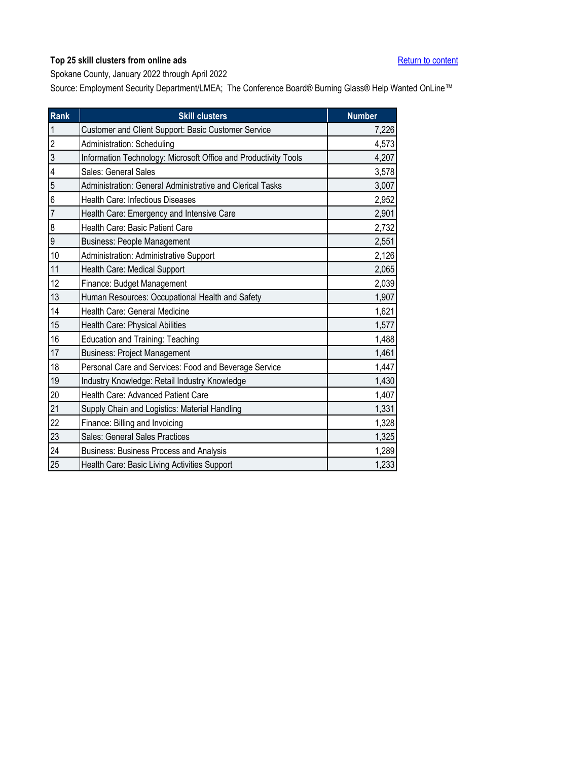<span id="page-33-0"></span>Spokane County, January 2022 through April 2022

| Rank                    | <b>Skill clusters</b>                                           | <b>Number</b> |
|-------------------------|-----------------------------------------------------------------|---------------|
| $\overline{1}$          | Customer and Client Support: Basic Customer Service             | 7,226         |
| $\overline{a}$          | Administration: Scheduling                                      | 4,573         |
| $\overline{3}$          | Information Technology: Microsoft Office and Productivity Tools | 4,207         |
| $\overline{\mathbf{4}}$ | Sales: General Sales                                            | 3,578         |
| 5                       | Administration: General Administrative and Clerical Tasks       | 3,007         |
| 6                       | Health Care: Infectious Diseases                                | 2,952         |
| $\overline{7}$          | Health Care: Emergency and Intensive Care                       | 2,901         |
| $\boldsymbol{8}$        | Health Care: Basic Patient Care                                 | 2,732         |
| $\overline{9}$          | <b>Business: People Management</b>                              | 2,551         |
| 10                      | Administration: Administrative Support                          | 2,126         |
| 11                      | Health Care: Medical Support                                    | 2,065         |
| 12                      | Finance: Budget Management                                      | 2,039         |
| 13                      | Human Resources: Occupational Health and Safety                 | 1,907         |
| 14                      | Health Care: General Medicine                                   | 1,621         |
| 15                      | Health Care: Physical Abilities                                 | 1,577         |
| 16                      | <b>Education and Training: Teaching</b>                         | 1,488         |
| 17                      | <b>Business: Project Management</b>                             | 1,461         |
| 18                      | Personal Care and Services: Food and Beverage Service           | 1,447         |
| $19$                    | Industry Knowledge: Retail Industry Knowledge                   | 1,430         |
| 20                      | Health Care: Advanced Patient Care                              | 1,407         |
| 21                      | Supply Chain and Logistics: Material Handling                   | 1,331         |
| 22                      | Finance: Billing and Invoicing                                  | 1,328         |
| 23                      | Sales: General Sales Practices                                  | 1,325         |
| 24                      | <b>Business: Business Process and Analysis</b>                  | 1,289         |
| 25                      | Health Care: Basic Living Activities Support                    | 1,233         |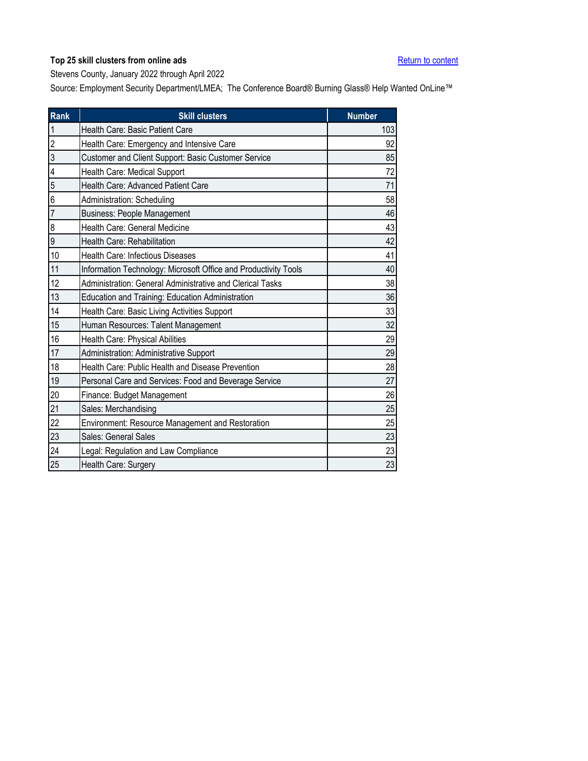<span id="page-34-0"></span>Stevens County, January 2022 through April 2022

| <b>Rank</b>    | <b>Skill clusters</b>                                           | <b>Number</b> |
|----------------|-----------------------------------------------------------------|---------------|
| 1              | Health Care: Basic Patient Care                                 | 103           |
| $\overline{2}$ | Health Care: Emergency and Intensive Care                       | 92            |
| 3              | Customer and Client Support: Basic Customer Service             | 85            |
| 4              | Health Care: Medical Support                                    | 72            |
| 5              | Health Care: Advanced Patient Care                              | 71            |
| 6              | Administration: Scheduling                                      | 58            |
| 7              | <b>Business: People Management</b>                              | 46            |
| 8              | Health Care: General Medicine                                   | 43            |
| 9              | Health Care: Rehabilitation                                     | 42            |
| 10             | Health Care: Infectious Diseases                                | 41            |
| 11             | Information Technology: Microsoft Office and Productivity Tools | 40            |
| 12             | Administration: General Administrative and Clerical Tasks       | 38            |
| 13             | Education and Training: Education Administration                | 36            |
| 14             | Health Care: Basic Living Activities Support                    | 33            |
| 15             | Human Resources: Talent Management                              | 32            |
| 16             | Health Care: Physical Abilities                                 | 29            |
| 17             | Administration: Administrative Support                          | 29            |
| 18             | Health Care: Public Health and Disease Prevention               | 28            |
| 19             | Personal Care and Services: Food and Beverage Service           | 27            |
| 20             | Finance: Budget Management                                      | 26            |
| 21             | Sales: Merchandising                                            | 25            |
| 22             | Environment: Resource Management and Restoration                | 25            |
| 23             | Sales: General Sales                                            | 23            |
| 24             | Legal: Regulation and Law Compliance                            | 23            |
| 25             | Health Care: Surgery                                            | 23            |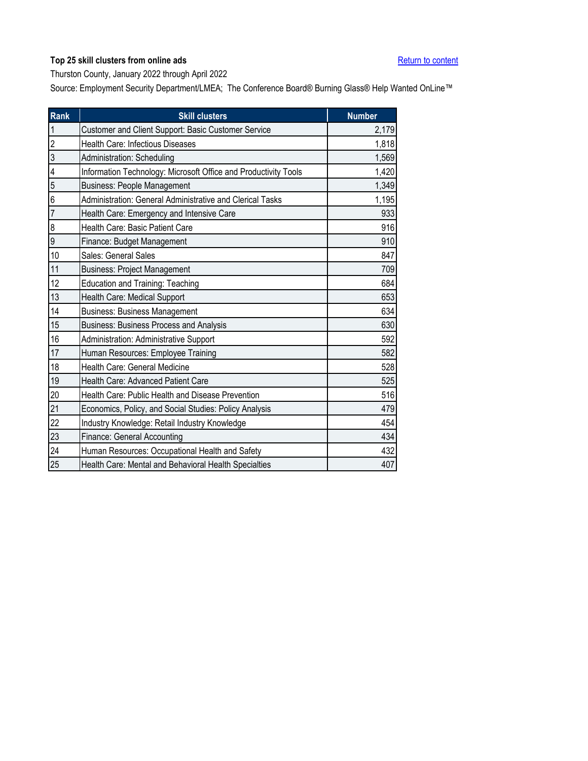<span id="page-35-0"></span>Thurston County, January 2022 through April 2022

| Rank                    | <b>Skill clusters</b>                                           | <b>Number</b> |
|-------------------------|-----------------------------------------------------------------|---------------|
| $\mathbf{1}$            | Customer and Client Support: Basic Customer Service             | 2,179         |
| $\overline{2}$          | Health Care: Infectious Diseases                                | 1,818         |
| $\overline{3}$          | Administration: Scheduling                                      | 1,569         |
| $\overline{\mathbf{4}}$ | Information Technology: Microsoft Office and Productivity Tools | 1,420         |
| 5                       | <b>Business: People Management</b>                              | 1,349         |
| 6                       | Administration: General Administrative and Clerical Tasks       | 1,195         |
| $\overline{7}$          | Health Care: Emergency and Intensive Care                       | 933           |
| 8                       | Health Care: Basic Patient Care                                 | 916           |
| 9                       | Finance: Budget Management                                      | 910           |
| 10                      | Sales: General Sales                                            | 847           |
| 11                      | <b>Business: Project Management</b>                             | 709           |
| 12                      | <b>Education and Training: Teaching</b>                         | 684           |
| 13                      | Health Care: Medical Support                                    | 653           |
| 14                      | <b>Business: Business Management</b>                            | 634           |
| 15                      | Business: Business Process and Analysis                         | 630           |
| 16                      | Administration: Administrative Support                          | 592           |
| 17                      | Human Resources: Employee Training                              | 582           |
| 18                      | Health Care: General Medicine                                   | 528           |
| 19                      | Health Care: Advanced Patient Care                              | 525           |
| 20                      | Health Care: Public Health and Disease Prevention               | 516           |
| 21                      | Economics, Policy, and Social Studies: Policy Analysis          | 479           |
| 22                      | Industry Knowledge: Retail Industry Knowledge                   | 454           |
| 23                      | Finance: General Accounting                                     | 434           |
| 24                      | Human Resources: Occupational Health and Safety                 | 432           |
| 25                      | Health Care: Mental and Behavioral Health Specialties           | 407           |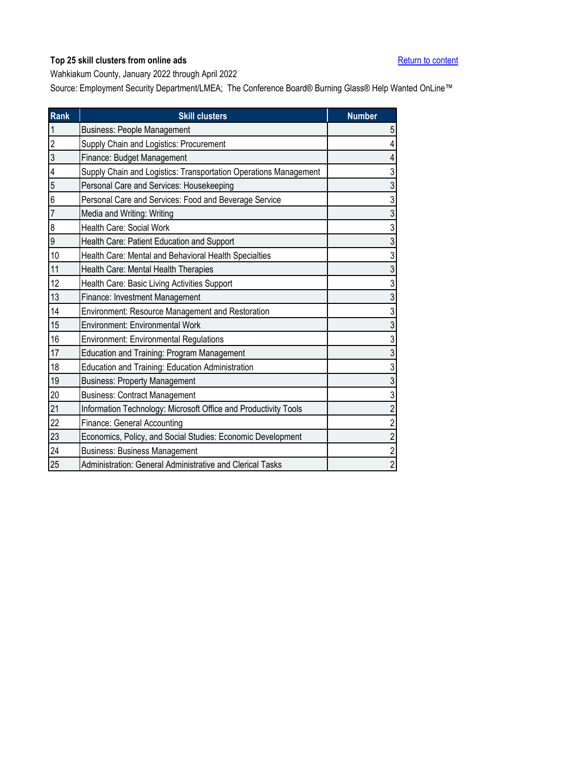<span id="page-36-0"></span>Wahkiakum County, January 2022 through April 2022

| Rank           | <b>Skill clusters</b>                                            | <b>Number</b>  |
|----------------|------------------------------------------------------------------|----------------|
| $\mathbf{1}$   | <b>Business: People Management</b>                               | 5              |
| $\overline{2}$ | Supply Chain and Logistics: Procurement                          | 4              |
| 3              | Finance: Budget Management                                       | 4              |
| 4              | Supply Chain and Logistics: Transportation Operations Management | 3              |
| 5              | Personal Care and Services: Housekeeping                         | 3              |
| 6              | Personal Care and Services: Food and Beverage Service            | 3              |
| 7              | Media and Writing: Writing                                       | 3              |
| 8              | Health Care: Social Work                                         | 3              |
| 9              | Health Care: Patient Education and Support                       | 3              |
| 10             | Health Care: Mental and Behavioral Health Specialties            | 3              |
| 11             | Health Care: Mental Health Therapies                             | 3              |
| 12             | Health Care: Basic Living Activities Support                     | 3              |
| 13             | Finance: Investment Management                                   | 3              |
| 14             | Environment: Resource Management and Restoration                 | 3              |
| 15             | <b>Environment: Environmental Work</b>                           | 3              |
| 16             | Environment: Environmental Regulations                           | 3              |
| 17             | <b>Education and Training: Program Management</b>                | 3              |
| 18             | Education and Training: Education Administration                 | 3              |
| 19             | <b>Business: Property Management</b>                             | 3              |
| 20             | <b>Business: Contract Management</b>                             | 3              |
| 21             | Information Technology: Microsoft Office and Productivity Tools  | $\overline{2}$ |
| 22             | Finance: General Accounting                                      | $\overline{2}$ |
| 23             | Economics, Policy, and Social Studies: Economic Development      | $\overline{c}$ |
| 24             | <b>Business: Business Management</b>                             | $\overline{c}$ |
| 25             | Administration: General Administrative and Clerical Tasks        | $\overline{2}$ |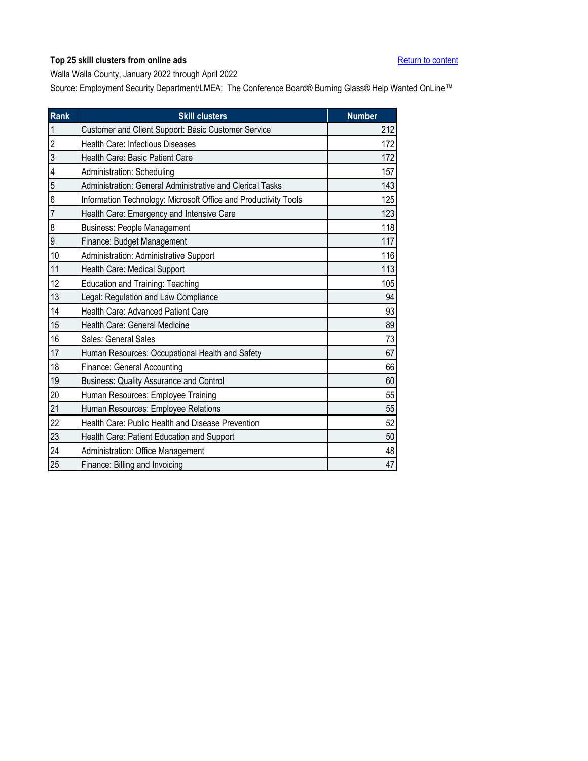<span id="page-37-0"></span>Walla Walla County, January 2022 through April 2022

| Rank           | <b>Skill clusters</b>                                           | <b>Number</b> |
|----------------|-----------------------------------------------------------------|---------------|
| $\mathbf{1}$   | Customer and Client Support: Basic Customer Service             | 212           |
| $\overline{2}$ | Health Care: Infectious Diseases                                | 172           |
| 3              | Health Care: Basic Patient Care                                 | 172           |
| 4              | Administration: Scheduling                                      | 157           |
| 5              | Administration: General Administrative and Clerical Tasks       | 143           |
| 6              | Information Technology: Microsoft Office and Productivity Tools | 125           |
| $\overline{7}$ | Health Care: Emergency and Intensive Care                       | 123           |
| 8              | <b>Business: People Management</b>                              | 118           |
| 9              | Finance: Budget Management                                      | 117           |
| 10             | Administration: Administrative Support                          | 116           |
| 11             | Health Care: Medical Support                                    | 113           |
| 12             | <b>Education and Training: Teaching</b>                         | 105           |
| 13             | Legal: Regulation and Law Compliance                            | 94            |
| 14             | Health Care: Advanced Patient Care                              | 93            |
| 15             | Health Care: General Medicine                                   | 89            |
| 16             | Sales: General Sales                                            | 73            |
| 17             | Human Resources: Occupational Health and Safety                 | 67            |
| 18             | Finance: General Accounting                                     | 66            |
| 19             | <b>Business: Quality Assurance and Control</b>                  | 60            |
| 20             | Human Resources: Employee Training                              | 55            |
| 21             | Human Resources: Employee Relations                             | 55            |
| 22             | Health Care: Public Health and Disease Prevention               | 52            |
| 23             | Health Care: Patient Education and Support                      | 50            |
| 24             | Administration: Office Management                               | 48            |
| 25             | Finance: Billing and Invoicing                                  | 47            |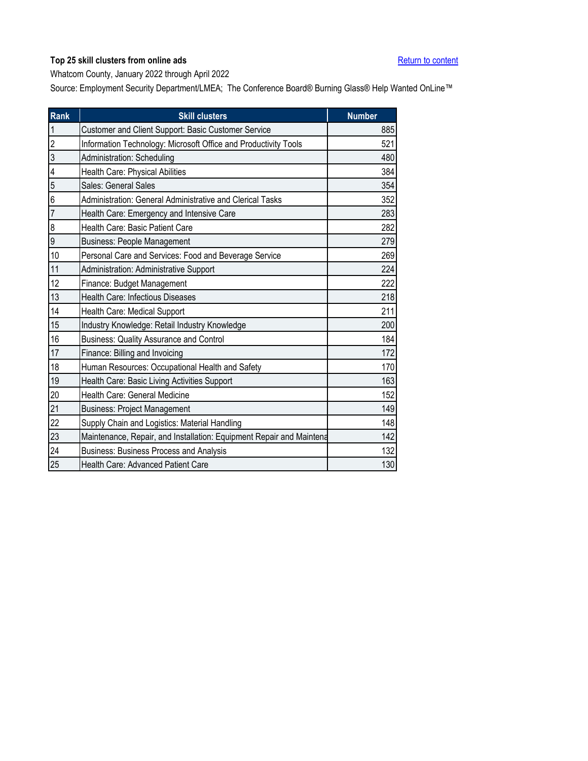<span id="page-38-0"></span>Whatcom County, January 2022 through April 2022

| <b>Rank</b>    | <b>Skill clusters</b>                                                | <b>Number</b> |
|----------------|----------------------------------------------------------------------|---------------|
| $\mathbf{1}$   | Customer and Client Support: Basic Customer Service                  | 885           |
| $\overline{2}$ | Information Technology: Microsoft Office and Productivity Tools      | 521           |
| 3              | Administration: Scheduling                                           | 480           |
| 4              | Health Care: Physical Abilities                                      | 384           |
| 5              | Sales: General Sales                                                 | 354           |
| 6              | Administration: General Administrative and Clerical Tasks            | 352           |
| $\overline{7}$ | Health Care: Emergency and Intensive Care                            | 283           |
| 8              | Health Care: Basic Patient Care                                      | 282           |
| 9              | <b>Business: People Management</b>                                   | 279           |
| 10             | Personal Care and Services: Food and Beverage Service                | 269           |
| 11             | Administration: Administrative Support                               | 224           |
| 12             | Finance: Budget Management                                           | 222           |
| 13             | <b>Health Care: Infectious Diseases</b>                              | 218           |
| 14             | Health Care: Medical Support                                         | 211           |
| 15             | Industry Knowledge: Retail Industry Knowledge                        | 200           |
| 16             | <b>Business: Quality Assurance and Control</b>                       | 184           |
| 17             | Finance: Billing and Invoicing                                       | 172           |
| 18             | Human Resources: Occupational Health and Safety                      | 170           |
| 19             | Health Care: Basic Living Activities Support                         | 163           |
| 20             | Health Care: General Medicine                                        | 152           |
| 21             | <b>Business: Project Management</b>                                  | 149           |
| 22             | Supply Chain and Logistics: Material Handling                        | 148           |
| 23             | Maintenance, Repair, and Installation: Equipment Repair and Maintena | 142           |
| 24             | <b>Business: Business Process and Analysis</b>                       | 132           |
| 25             | Health Care: Advanced Patient Care                                   | 130           |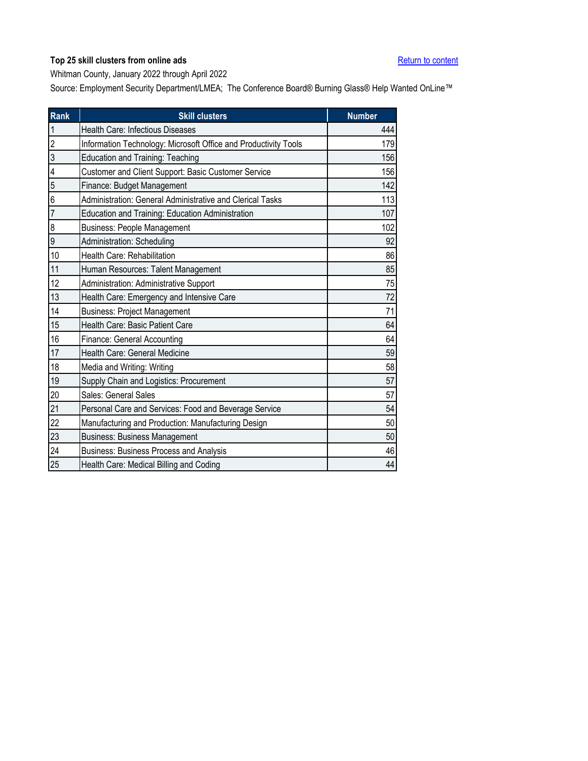<span id="page-39-0"></span>Whitman County, January 2022 through April 2022

| <b>Rank</b>    | <b>Skill clusters</b>                                           | <b>Number</b> |
|----------------|-----------------------------------------------------------------|---------------|
| $\mathbf{1}$   | Health Care: Infectious Diseases                                | 444           |
| $\overline{2}$ | Information Technology: Microsoft Office and Productivity Tools | 179           |
| 3              | Education and Training: Teaching                                | 156           |
| 4              | Customer and Client Support: Basic Customer Service             | 156           |
| 5              | Finance: Budget Management                                      | 142           |
| 6              | Administration: General Administrative and Clerical Tasks       | 113           |
| $\overline{7}$ | Education and Training: Education Administration                | 107           |
| 8              | <b>Business: People Management</b>                              | 102           |
| 9              | Administration: Scheduling                                      | 92            |
| 10             | Health Care: Rehabilitation                                     | 86            |
| 11             | Human Resources: Talent Management                              | 85            |
| 12             | Administration: Administrative Support                          | 75            |
| 13             | Health Care: Emergency and Intensive Care                       | 72            |
| 14             | <b>Business: Project Management</b>                             | 71            |
| 15             | Health Care: Basic Patient Care                                 | 64            |
| 16             | <b>Finance: General Accounting</b>                              | 64            |
| 17             | Health Care: General Medicine                                   | 59            |
| 18             | Media and Writing: Writing                                      | 58            |
| 19             | Supply Chain and Logistics: Procurement                         | 57            |
| 20             | Sales: General Sales                                            | 57            |
| 21             | Personal Care and Services: Food and Beverage Service           | 54            |
| 22             | Manufacturing and Production: Manufacturing Design              | 50            |
| 23             | <b>Business: Business Management</b>                            | 50            |
| 24             | <b>Business: Business Process and Analysis</b>                  | 46            |
| 25             | Health Care: Medical Billing and Coding                         | 44            |